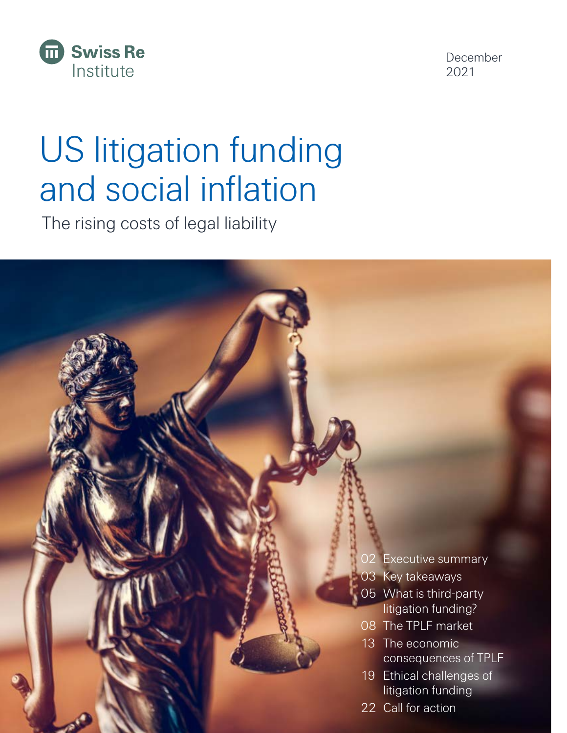

December 2021

# US litigation funding and social inflation

The rising costs of legal liability

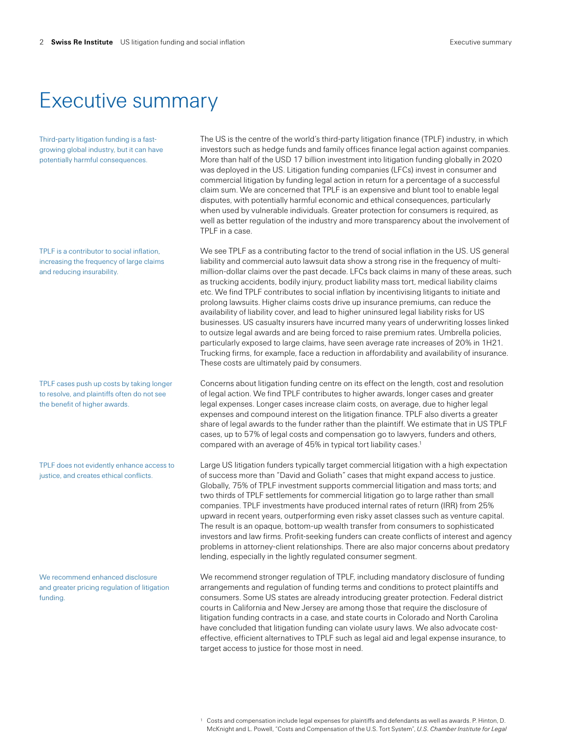## Executive summary

Third-party litigation funding is a fastgrowing global industry, but it can have potentially harmful consequences.

TPLF is a contributor to social inflation, increasing the frequency of large claims and reducing insurability.

TPLF cases push up costs by taking longer to resolve, and plaintiffs often do not see the benefit of higher awards.

TPLF does not evidently enhance access to justice, and creates ethical conflicts.

We recommend enhanced disclosure and greater pricing regulation of litigation funding.

The US is the centre of the world's third-party litigation finance (TPLF) industry, in which investors such as hedge funds and family offices finance legal action against companies. More than half of the USD 17 billion investment into litigation funding globally in 2020 was deployed in the US. Litigation funding companies (LFCs) invest in consumer and commercial litigation by funding legal action in return for a percentage of a successful claim sum. We are concerned that TPLF is an expensive and blunt tool to enable legal disputes, with potentially harmful economic and ethical consequences, particularly when used by vulnerable individuals. Greater protection for consumers is required, as well as better regulation of the industry and more transparency about the involvement of TPLF in a case.

We see TPLF as a contributing factor to the trend of social inflation in the US. US general liability and commercial auto lawsuit data show a strong rise in the frequency of multimillion-dollar claims over the past decade. LFCs back claims in many of these areas, such as trucking accidents, bodily injury, product liability mass tort, medical liability claims etc. We find TPLF contributes to social inflation by incentivising litigants to initiate and prolong lawsuits. Higher claims costs drive up insurance premiums, can reduce the availability of liability cover, and lead to higher uninsured legal liability risks for US businesses. US casualty insurers have incurred many years of underwriting losses linked to outsize legal awards and are being forced to raise premium rates. Umbrella policies, particularly exposed to large claims, have seen average rate increases of 20% in 1H21. Trucking firms, for example, face a reduction in affordability and availability of insurance. These costs are ultimately paid by consumers.

Concerns about litigation funding centre on its effect on the length, cost and resolution of legal action. We find TPLF contributes to higher awards, longer cases and greater legal expenses. Longer cases increase claim costs, on average, due to higher legal expenses and compound interest on the litigation finance. TPLF also diverts a greater share of legal awards to the funder rather than the plaintiff. We estimate that in US TPLF cases, up to 57% of legal costs and compensation go to lawyers, funders and others, compared with an average of 45% in typical tort liability cases.1

Large US litigation funders typically target commercial litigation with a high expectation of success more than "David and Goliath" cases that might expand access to justice. Globally, 75% of TPLF investment supports commercial litigation and mass torts; and two thirds of TPLF settlements for commercial litigation go to large rather than small companies. TPLF investments have produced internal rates of return (IRR) from 25% upward in recent years, outperforming even risky asset classes such as venture capital. The result is an opaque, bottom-up wealth transfer from consumers to sophisticated investors and law firms. Profit-seeking funders can create conflicts of interest and agency problems in attorney-client relationships. There are also major concerns about predatory lending, especially in the lightly regulated consumer segment.

We recommend stronger regulation of TPLF, including mandatory disclosure of funding arrangements and regulation of funding terms and conditions to protect plaintiffs and consumers. Some US states are already introducing greater protection. Federal district courts in California and New Jersey are among those that require the disclosure of litigation funding contracts in a case, and state courts in Colorado and North Carolina have concluded that litigation funding can violate usury laws. We also advocate costeffective, efficient alternatives to TPLF such as legal aid and legal expense insurance, to target access to justice for those most in need.

<sup>1</sup> Costs and compensation include legal expenses for plaintiffs and defendants as well as awards. P. Hinton, D. McKnight and L. Powell, "Costs and Compensation of the U.S. Tort System", *U.S. Chamber Institute for Legal*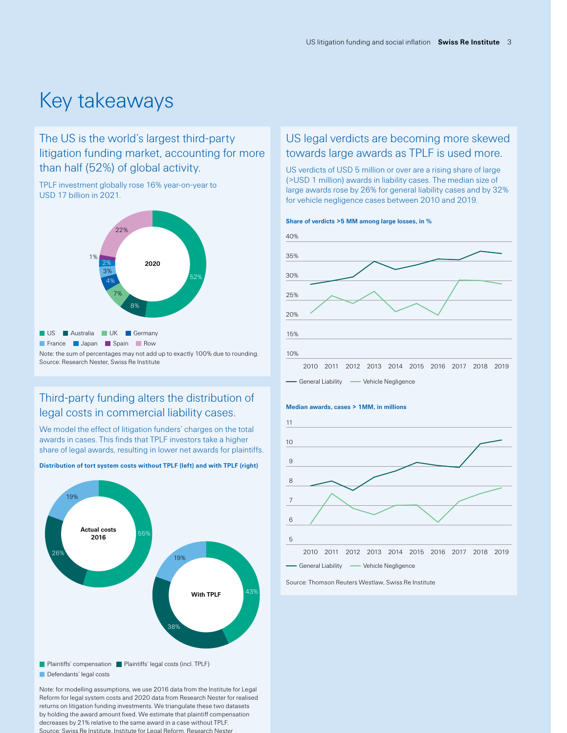## Key takeaways

### The US is the world's largest third-party litigation funding market, accounting for more than half (52%) of global activity.

TPLF investment globally rose 16% year-on-year to USD 17 billion in 2021.



### Third-party funding alters the distribution of legal costs in commercial liability cases.

We model the effect of litigation funders' charges on the total awards in cases. This finds that TPLF investors take a higher share of legal awards, resulting in lower net awards for plaintiffs.



**Distribution of tort system costs without TPLF (left) and with TPLF (right)** 

Plaintiffs' compensation | Plaintiffs' legal costs (incl. TPLF)

Defendants' legal costs

Note: for modelling assumptions, we use 2016 data from the Institute for Legal Reform for legal system costs and 2020 data from Research Nester for realised returns on litigation funding investments. We triangulate these two datasets by holding the award amount fixed. We estimate that plaintiff compensation decreases by 21% relative to the same award in a case without TPLF. Source: Swiss Re Institute, Institute for Legal Reform, Research Nester

### US legal verdicts are becoming more skewed towards large awards as TPLF is used more.

US verdicts of USD 5 million or over are a rising share of large (>USD 1 million) awards in liability cases. The median size of large awards rose by 26% for general liability cases and by 32% for vehicle negligence cases between 2010 and 2019.





#### **Median awards, cases > 1MM, in millions**



Source: Thomson Reuters Westlaw, Swiss Re Institute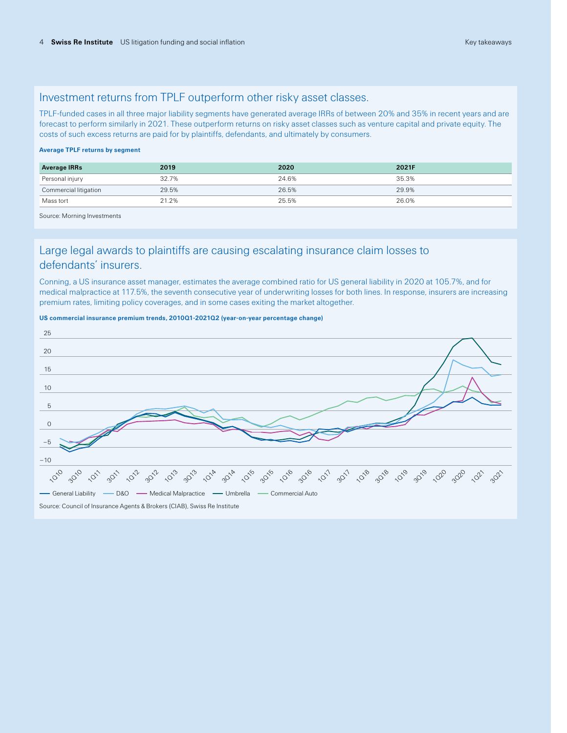### Investment returns from TPLF outperform other risky asset classes.

TPLF-funded cases in all three major liability segments have generated average IRRs of between 20% and 35% in recent years and are forecast to perform similarly in 2021. These outperform returns on risky asset classes such as venture capital and private equity. The costs of such excess returns are paid for by plaintiffs, defendants, and ultimately by consumers.

#### **Average TPLF returns by segment**

| <b>Average IRRs</b>   | 2019  | 2020  | 2021F |
|-----------------------|-------|-------|-------|
| Personal injury       | 32.7% | 24.6% | 35.3% |
| Commercial litigation | 29.5% | 26.5% | 29.9% |
| Mass tort             | 21.2% | 25.5% | 26.0% |

Source: Morning Investments

### Large legal awards to plaintiffs are causing escalating insurance claim losses to defendants' insurers.

Conning, a US insurance asset manager, estimates the average combined ratio for US general liability in 2020 at 105.7%, and for medical malpractice at 117.5%, the seventh consecutive year of underwriting losses for both lines. In response, insurers are increasing premium rates, limiting policy coverages, and in some cases exiting the market altogether.





Source: Council of Insurance Agents & Brokers (CIAB), Swiss Re Institute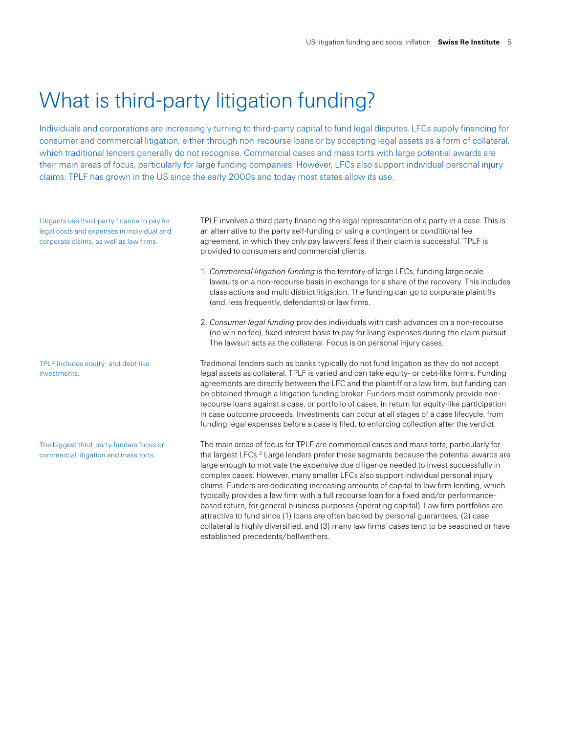## What is third-party litigation funding?

Individuals and corporations are increasingly turning to third-party capital to fund legal disputes. LFCs supply financing for consumer and commercial litigation, either through non-recourse loans or by accepting legal assets as a form of collateral, which traditional lenders generally do not recognise. Commercial cases and mass torts with large potential awards are their main areas of focus, particularly for large funding companies. However, LFCs also support individual personal injury claims. TPLF has grown in the US since the early 2000s and today most states allow its use.

Litigants use third-party finance to pay for legal costs and expenses in individual and corporate claims, as well as law firms.

TPLF includes equity- and debt-like investments.

The biggest third-party funders focus on commercial litigation and mass torts.

TPLF involves a third party financing the legal representation of a party in a case. This is an alternative to the party self-funding or using a contingent or conditional fee agreement, in which they only pay lawyers' fees if their claim is successful. TPLF is provided to consumers and commercial clients:

- 1. *Commercial litigation funding* is the territory of large LFCs, funding large scale lawsuits on a non-recourse basis in exchange for a share of the recovery. This includes class actions and multi district litigation. The funding can go to corporate plaintiffs (and, less frequently, defendants) or law firms.
- 2. *Consumer legal funding* provides individuals with cash advances on a non-recourse (no win no fee), fixed interest basis to pay for living expenses during the claim pursuit. The lawsuit acts as the collateral. Focus is on personal injury cases.

Traditional lenders such as banks typically do not fund litigation as they do not accept legal assets as collateral. TPLF is varied and can take equity- or debt-like forms. Funding agreements are directly between the LFC and the plaintiff or a law firm, but funding can be obtained through a litigation funding broker. Funders most commonly provide nonrecourse loans against a case, or portfolio of cases, in return for equity-like participation in case outcome proceeds. Investments can occur at all stages of a case lifecycle, from funding legal expenses before a case is filed, to enforcing collection after the verdict.

The main areas of focus for TPLF are commercial cases and mass torts, particularly for the largest LFCs.<sup>2</sup> Large lenders prefer these segments because the potential awards are large enough to motivate the expensive due diligence needed to invest successfully in complex cases. However, many smaller LFCs also support individual personal injury claims. Funders are dedicating increasing amounts of capital to law firm lending, which typically provides a law firm with a full recourse loan for a fixed and/or performancebased return, for general business purposes (operating capital). Law firm portfolios are attractive to fund since (1) loans are often backed by personal guarantees, (2) case collateral is highly diversified, and (3) many law firms' cases tend to be seasoned or have established precedents/bellwethers.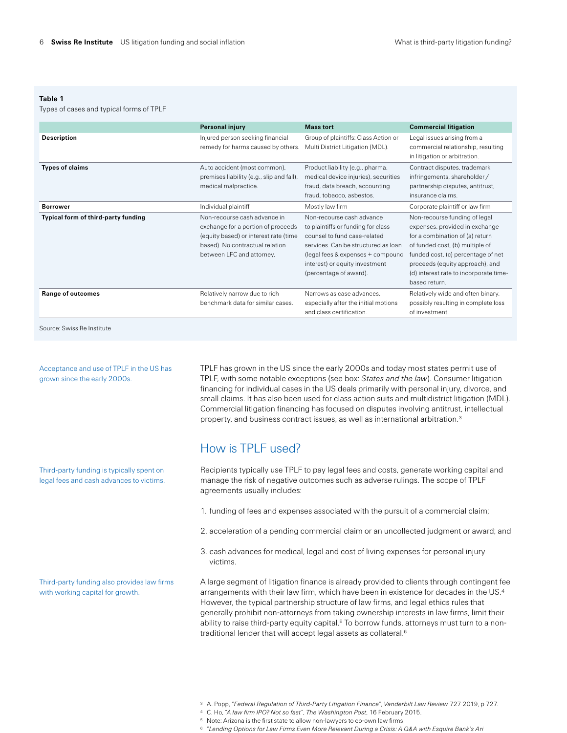#### **Table 1**

Types of cases and typical forms of TPLF

|                                     | <b>Personal injury</b>                                                                                                                                                      | <b>Mass tort</b>                                                                                                                                                                                                                        | <b>Commercial litigation</b>                                                                                                                                                                                                                                              |
|-------------------------------------|-----------------------------------------------------------------------------------------------------------------------------------------------------------------------------|-----------------------------------------------------------------------------------------------------------------------------------------------------------------------------------------------------------------------------------------|---------------------------------------------------------------------------------------------------------------------------------------------------------------------------------------------------------------------------------------------------------------------------|
| Description                         | Injured person seeking financial<br>remedy for harms caused by others.                                                                                                      | Group of plaintiffs; Class Action or<br>Multi District Litigation (MDL).                                                                                                                                                                | Legal issues arising from a<br>commercial relationship, resulting<br>in litigation or arbitration.                                                                                                                                                                        |
| <b>Types of claims</b>              | Auto accident (most common),<br>premises liability (e.g., slip and fall),<br>medical malpractice.                                                                           | Product liability (e.g., pharma,<br>medical device injuries), securities<br>fraud, data breach, accounting<br>fraud, tobacco, asbestos.                                                                                                 | Contract disputes, trademark<br>infringements, shareholder /<br>partnership disputes, antitrust,<br>insurance claims.                                                                                                                                                     |
| <b>Borrower</b>                     | Individual plaintiff                                                                                                                                                        | Mostly law firm                                                                                                                                                                                                                         | Corporate plaintiff or law firm                                                                                                                                                                                                                                           |
| Typical form of third-party funding | Non-recourse cash advance in<br>exchange for a portion of proceeds<br>(equity based) or interest rate (time<br>based). No contractual relation<br>between LFC and attorney. | Non-recourse cash advance<br>to plaintiffs or funding for class<br>counsel to fund case-related<br>services. Can be structured as loan<br>(legal fees & expenses + compound<br>interest) or equity investment<br>(percentage of award). | Non-recourse funding of legal<br>expenses, provided in exchange<br>for a combination of (a) return<br>of funded cost, (b) multiple of<br>funded cost, (c) percentage of net<br>proceeds (equity approach), and<br>(d) interest rate to incorporate time-<br>based return. |
| Range of outcomes                   | Relatively narrow due to rich<br>benchmark data for similar cases.                                                                                                          | Narrows as case advances.<br>especially after the initial motions<br>and class certification.                                                                                                                                           | Relatively wide and often binary,<br>possibly resulting in complete loss<br>of investment.                                                                                                                                                                                |

Source: Swiss Re Institute

Acceptance and use of TPLF in the US has grown since the early 2000s.

Third-party funding is typically spent on legal fees and cash advances to victims.

Third-party funding also provides law firms with working capital for growth.

TPLF has grown in the US since the early 2000s and today most states permit use of TPLF, with some notable exceptions (see box: *States and the law*). Consumer litigation financing for individual cases in the US deals primarily with personal injury, divorce, and small claims. It has also been used for class action suits and multidistrict litigation (MDL). Commercial litigation financing has focused on disputes involving antitrust, intellectual property, and business contract issues, as well as international arbitration.3

### How is TPLF used?

Recipients typically use TPLF to pay legal fees and costs, generate working capital and manage the risk of negative outcomes such as adverse rulings. The scope of TPLF agreements usually includes:

- 1. funding of fees and expenses associated with the pursuit of a commercial claim;
- 2. acceleration of a pending commercial claim or an uncollected judgment or award; and
- 3. cash advances for medical, legal and cost of living expenses for personal injury victims.

A large segment of litigation finance is already provided to clients through contingent fee arrangements with their law firm, which have been in existence for decades in the US.4 However, the typical partnership structure of law firms, and legal ethics rules that generally prohibit non-attorneys from taking ownership interests in law firms, limit their ability to raise third-party equity capital.<sup>5</sup> To borrow funds, attorneys must turn to a nontraditional lender that will accept legal assets as collateral.6

- <sup>3</sup> A. Popp, "*Federal Regulation of Third-Party Litigation Finance*", *Vanderbilt Law Review* 727 2019, p 727.
- <sup>4</sup> C. Ho, "*A law firm IPO? Not so fast*", *The Washington Post*, 16 February 2015.
- <sup>5</sup> Note: Arizona is the first state to allow non-lawyers to co-own law firms.
- <sup>6</sup> "*Lending Options for Law Firms Even More Relevant During a Crisis: A Q&A with Esquire Bank's Ari*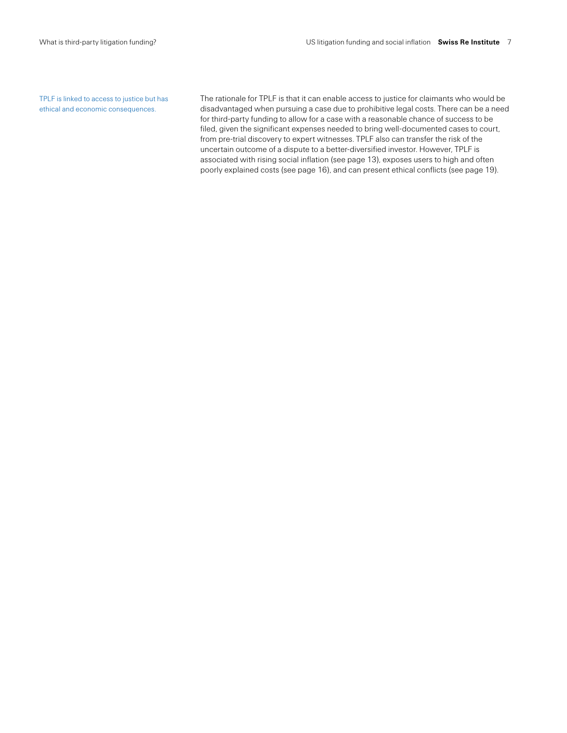TPLF is linked to access to justice but has ethical and economic consequences.

The rationale for TPLF is that it can enable access to justice for claimants who would be disadvantaged when pursuing a case due to prohibitive legal costs. There can be a need for third-party funding to allow for a case with a reasonable chance of success to be filed, given the significant expenses needed to bring well-documented cases to court, from pre-trial discovery to expert witnesses. TPLF also can transfer the risk of the uncertain outcome of a dispute to a better-diversified investor. However, TPLF is associated with rising social inflation (see page 13), exposes users to high and often poorly explained costs (see page 16), and can present ethical conflicts (see page 19).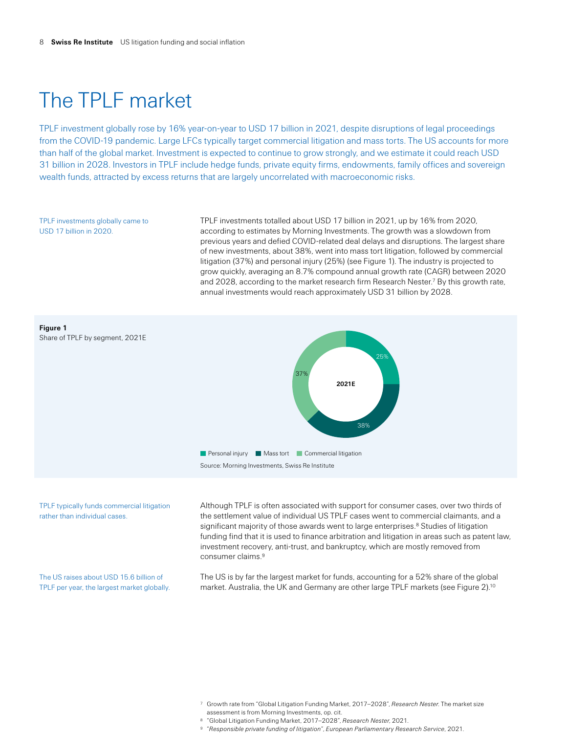## The TPLF market

TPLF investment globally rose by 16% year-on-year to USD 17 billion in 2021, despite disruptions of legal proceedings from the COVID-19 pandemic. Large LFCs typically target commercial litigation and mass torts. The US accounts for more than half of the global market. Investment is expected to continue to grow strongly, and we estimate it could reach USD 31 billion in 2028. Investors in TPLF include hedge funds, private equity firms, endowments, family offices and sovereign wealth funds, attracted by excess returns that are largely uncorrelated with macroeconomic risks.

TPLF investments globally came to USD 17 billion in 2020.

TPLF investments totalled about USD 17 billion in 2021, up by 16% from 2020, according to estimates by Morning Investments. The growth was a slowdown from previous years and defied COVID-related deal delays and disruptions. The largest share of new investments, about 38%, went into mass tort litigation, followed by commercial litigation (37%) and personal injury (25%) (see Figure 1). The industry is projected to grow quickly, averaging an 8.7% compound annual growth rate (CAGR) between 2020 and 2028, according to the market research firm Research Nester.<sup>7</sup> By this growth rate, annual investments would reach approximately USD 31 billion by 2028.



TPLF typically funds commercial litigation rather than individual cases.

The US raises about USD 15.6 billion of TPLF per year, the largest market globally. Although TPLF is often associated with support for consumer cases, over two thirds of the settlement value of individual US TPLF cases went to commercial claimants, and a significant majority of those awards went to large enterprises.<sup>8</sup> Studies of litigation funding find that it is used to finance arbitration and litigation in areas such as patent law, investment recovery, anti-trust, and bankruptcy, which are mostly removed from consumer claims.9

The US is by far the largest market for funds, accounting for a 52% share of the global market. Australia, the UK and Germany are other large TPLF markets (see Figure 2).<sup>10</sup>

- <sup>7</sup> Growth rate from "Global Litigation Funding Market, 2017–2028", *Research Nester*. The market size assessment is from Morning Investments, op. cit.
- <sup>8</sup> "Global Litigation Funding Market, 2017–2028", *Research Nester*, 2021. <sup>9</sup> "*Responsible private funding of litigation*", *European Parliamentary Research Service*, 2021.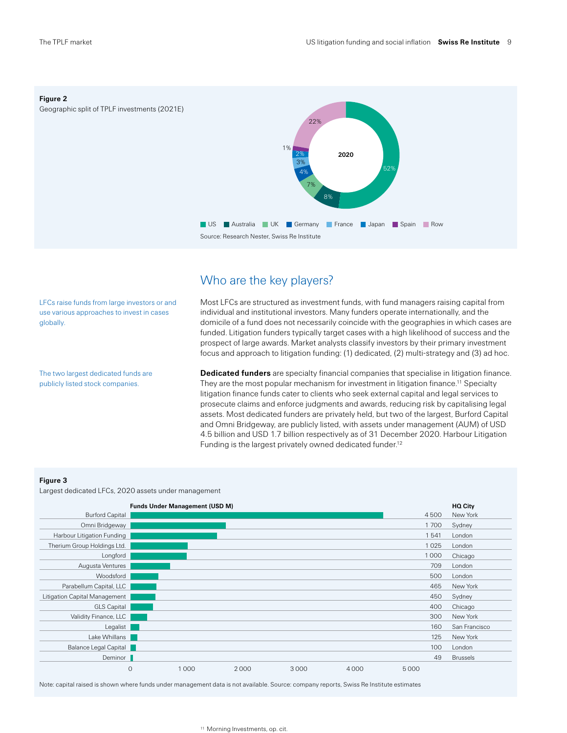**Figure 2**

Geographic split of TPLF investments (2021E)



### Who are the key players?

LFCs raise funds from large investors or and use various approaches to invest in cases globally.

The two largest dedicated funds are publicly listed stock companies.

Most LFCs are structured as investment funds, with fund managers raising capital from individual and institutional investors. Many funders operate internationally, and the domicile of a fund does not necessarily coincide with the geographies in which cases are funded. Litigation funders typically target cases with a high likelihood of success and the prospect of large awards. Market analysts classify investors by their primary investment focus and approach to litigation funding: (1) dedicated, (2) multi-strategy and (3) ad hoc.

**Dedicated funders** are specialty financial companies that specialise in litigation finance. They are the most popular mechanism for investment in litigation finance.<sup>11</sup> Specialty litigation finance funds cater to clients who seek external capital and legal services to prosecute claims and enforce judgments and awards, reducing risk by capitalising legal assets. Most dedicated funders are privately held, but two of the largest, Burford Capital and Omni Bridgeway, are publicly listed, with assets under management (AUM) of USD 4.5 billion and USD 1.7 billion respectively as of 31 December 2020. Harbour Litigation Funding is the largest privately owned dedicated funder.<sup>12</sup>

#### **Figure 3**

Largest dedicated LFCs, 2020 assets under management

|                               |               | <b>Funds Under Management (USD M)</b> |      |      |      |      | HQ City         |
|-------------------------------|---------------|---------------------------------------|------|------|------|------|-----------------|
| <b>Burford Capital</b>        |               |                                       |      |      |      | 4500 | New York        |
| Omni Bridgeway                |               |                                       |      |      |      | 1700 | Sydney          |
| Harbour Litigation Funding    |               |                                       |      |      |      | 1541 | London          |
| Therium Group Holdings Ltd.   |               |                                       |      |      |      | 1025 | London          |
| Longford                      |               |                                       |      |      |      | 1000 | Chicago         |
| Augusta Ventures              |               |                                       |      |      |      | 709  | London          |
| Woodsford                     |               |                                       |      |      |      | 500  | London          |
| Parabellum Capital, LLC       |               |                                       |      |      |      | 465  | New York        |
| Litigation Capital Management |               |                                       |      |      |      | 450  | Sydney          |
| <b>GLS Capital</b>            |               |                                       |      |      |      | 400  | Chicago         |
| Validity Finance, LLC         |               |                                       |      |      |      | 300  | New York        |
| Legalist                      |               |                                       |      |      |      | 160  | San Francisco   |
| Lake Whillans                 |               |                                       |      |      |      | 125  | New York        |
| Balance Legal Capital         |               |                                       |      |      |      | 100  | London          |
| Deminor                       |               |                                       |      |      |      | 49   | <b>Brussels</b> |
|                               | $\mathcal{O}$ | 1000                                  | 2000 | 3000 | 4000 | 5000 |                 |

Note: capital raised is shown where funds under management data is not available. Source: company reports, Swiss Re Institute estimates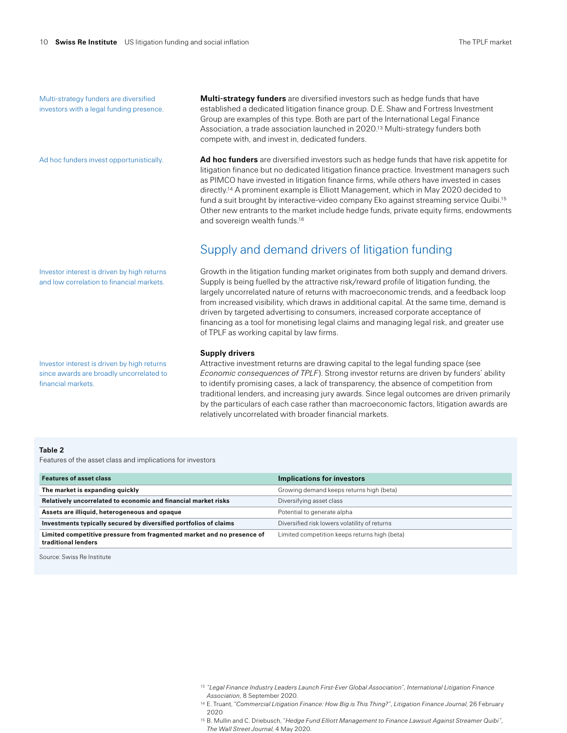Multi-strategy funders are diversified investors with a legal funding presence.

Ad hoc funders invest opportunistically.

Investor interest is driven by high returns and low correlation to financial markets.

Investor interest is driven by high returns since awards are broadly uncorrelated to financial markets.

**Multi-strategy funders** are diversified investors such as hedge funds that have established a dedicated litigation finance group. D.E. Shaw and Fortress Investment Group are examples of this type. Both are part of the International Legal Finance Association, a trade association launched in 2020.13 Multi-strategy funders both compete with, and invest in, dedicated funders.

**Ad hoc funders** are diversified investors such as hedge funds that have risk appetite for litigation finance but no dedicated litigation finance practice. Investment managers such as PIMCO have invested in litigation finance firms, while others have invested in cases directly.14 A prominent example is Elliott Management, which in May 2020 decided to fund a suit brought by interactive-video company Eko against streaming service Quibi.15 Other new entrants to the market include hedge funds, private equity firms, endowments and sovereign wealth funds.16

### Supply and demand drivers of litigation funding

Growth in the litigation funding market originates from both supply and demand drivers. Supply is being fuelled by the attractive risk/reward profile of litigation funding, the largely uncorrelated nature of returns with macroeconomic trends, and a feedback loop from increased visibility, which draws in additional capital. At the same time, demand is driven by targeted advertising to consumers, increased corporate acceptance of financing as a tool for monetising legal claims and managing legal risk, and greater use of TPLF as working capital by law firms.

#### **Supply drivers**

Attractive investment returns are drawing capital to the legal funding space (see *Economic consequences of TPLF*). Strong investor returns are driven by funders' ability to identify promising cases, a lack of transparency, the absence of competition from traditional lenders, and increasing jury awards. Since legal outcomes are driven primarily by the particulars of each case rather than macroeconomic factors, litigation awards are relatively uncorrelated with broader financial markets.

#### **Table 2**

Features of the asset class and implications for investors

| <b>Features of asset class</b>                                                                | Implications for investors                    |
|-----------------------------------------------------------------------------------------------|-----------------------------------------------|
| The market is expanding quickly                                                               | Growing demand keeps returns high (beta)      |
| Relatively uncorrelated to economic and financial market risks                                | Diversifying asset class                      |
| Assets are illiquid, heterogeneous and opaque                                                 | Potential to generate alpha                   |
| Investments typically secured by diversified portfolios of claims                             | Diversified risk lowers volatility of returns |
| Limited competitive pressure from fragmented market and no presence of<br>traditional lenders | Limited competition keeps returns high (beta) |

Source: Swiss Re Institute

- <sup>13</sup> *"Legal Finance Industry Leaders Launch First-Ever Global Association", International Litigation Finance Association,* 8 September 2020.
- <sup>14</sup> E. Truant, "Commercial Litigation Finance: How Big is This Thing?", Litigation Finance Journal, 26 February 2020
- <sup>15</sup> B. Mullin and C. Driebusch, "*Hedge Fund Elliott Management to Finance Lawsuit Against Streamer Quibi", The Wall Street Journal*, 4 May 2020.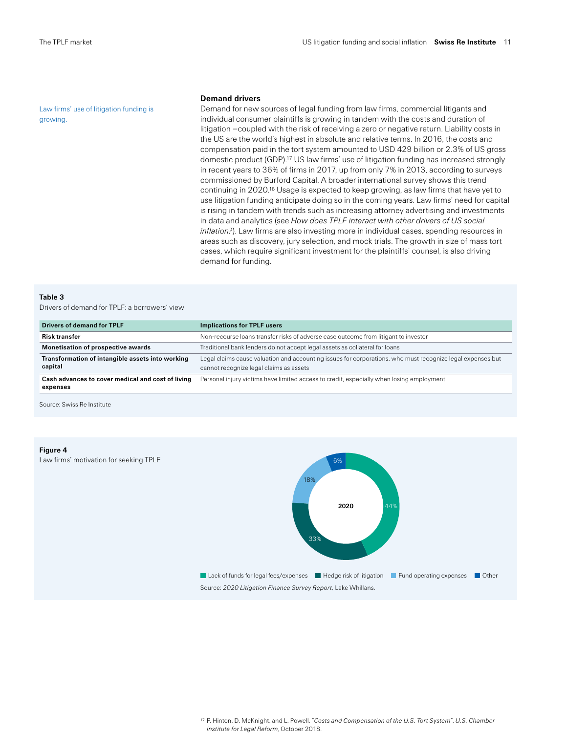Law firms' use of litigation funding is growing.

#### **Demand drivers**

Demand for new sources of legal funding from law firms, commercial litigants and individual consumer plaintiffs is growing in tandem with the costs and duration of litigation –coupled with the risk of receiving a zero or negative return. Liability costs in the US are the world's highest in absolute and relative terms. In 2016, the costs and compensation paid in the tort system amounted to USD 429 billion or 2.3% of US gross domestic product (GDP).17 US law firms' use of litigation funding has increased strongly in recent years to 36% of firms in 2017, up from only 7% in 2013, according to surveys commissioned by Burford Capital. A broader international survey shows this trend continuing in 2020.18 Usage is expected to keep growing, as law firms that have yet to use litigation funding anticipate doing so in the coming years. Law firms' need for capital is rising in tandem with trends such as increasing attorney advertising and investments in data and analytics (see *How does TPLF interact with other drivers of US social inflation?*). Law firms are also investing more in individual cases, spending resources in areas such as discovery, jury selection, and mock trials. The growth in size of mass tort cases, which require significant investment for the plaintiffs' counsel, is also driving demand for funding.

#### **Table 3**

Drivers of demand for TPLF: a borrowers' view

| <b>Drivers of demand for TPLF</b>                             | <b>Implications for TPLF users</b>                                                                                                                    |
|---------------------------------------------------------------|-------------------------------------------------------------------------------------------------------------------------------------------------------|
| <b>Risk transfer</b>                                          | Non-recourse loans transfer risks of adverse case outcome from litigant to investor                                                                   |
| <b>Monetisation of prospective awards</b>                     | Traditional bank lenders do not accept legal assets as collateral for loans                                                                           |
| Transformation of intangible assets into working<br>capital   | Legal claims cause valuation and accounting issues for corporations, who must recognize legal expenses but<br>cannot recognize legal claims as assets |
| Cash advances to cover medical and cost of living<br>expenses | Personal injury victims have limited access to credit, especially when losing employment                                                              |

Source: Swiss Re Institute

#### **Figure 4**

Law firms' motivation for seeking TPLF



<sup>17</sup> P. Hinton, D. McKnight, and L. Powell, "*Costs and Compensation of the U.S. Tort System*", *U.S. Chamber Institute for Legal Reform*, October 2018.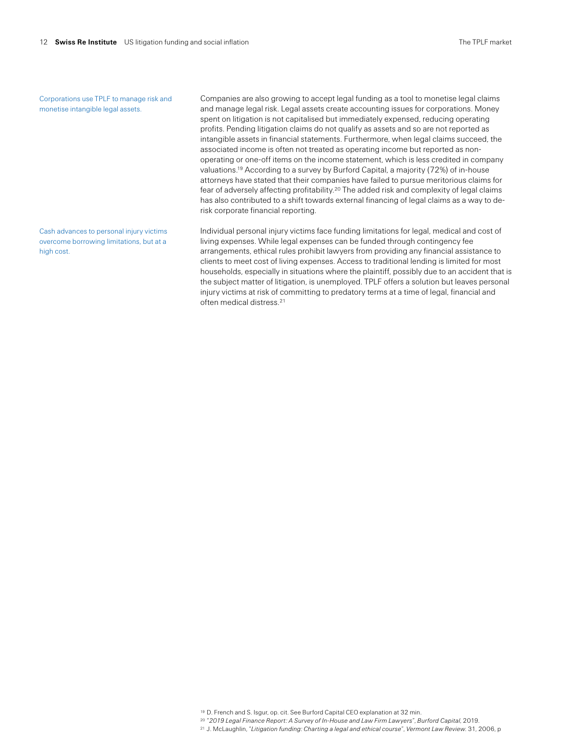Corporations use TPLF to manage risk and monetise intangible legal assets.

Cash advances to personal injury victims overcome borrowing limitations, but at a high cost.

Companies are also growing to accept legal funding as a tool to monetise legal claims and manage legal risk. Legal assets create accounting issues for corporations. Money spent on litigation is not capitalised but immediately expensed, reducing operating profits. Pending litigation claims do not qualify as assets and so are not reported as intangible assets in financial statements. Furthermore, when legal claims succeed, the associated income is often not treated as operating income but reported as nonoperating or one-off items on the income statement, which is less credited in company valuations.19 According to a survey by Burford Capital, a majority (72%) of in-house attorneys have stated that their companies have failed to pursue meritorious claims for fear of adversely affecting profitability.20 The added risk and complexity of legal claims has also contributed to a shift towards external financing of legal claims as a way to derisk corporate financial reporting.

Individual personal injury victims face funding limitations for legal, medical and cost of living expenses. While legal expenses can be funded through contingency fee arrangements, ethical rules prohibit lawyers from providing any financial assistance to clients to meet cost of living expenses. Access to traditional lending is limited for most households, especially in situations where the plaintiff, possibly due to an accident that is the subject matter of litigation, is unemployed. TPLF offers a solution but leaves personal injury victims at risk of committing to predatory terms at a time of legal, financial and often medical distress.21

<sup>19</sup> D. French and S. Isgur, op. cit. See Burford Capital CEO explanation at 32 min.

<sup>20</sup> "*2019 Legal Finance Report: A Survey of In-House and Law Firm Lawyers*", *Burford Capital*, 2019.

<sup>21</sup> J. McLaughlin, "*Litigation funding: Charting a legal and ethical course*", *Vermont Law Review*. 31, 2006, p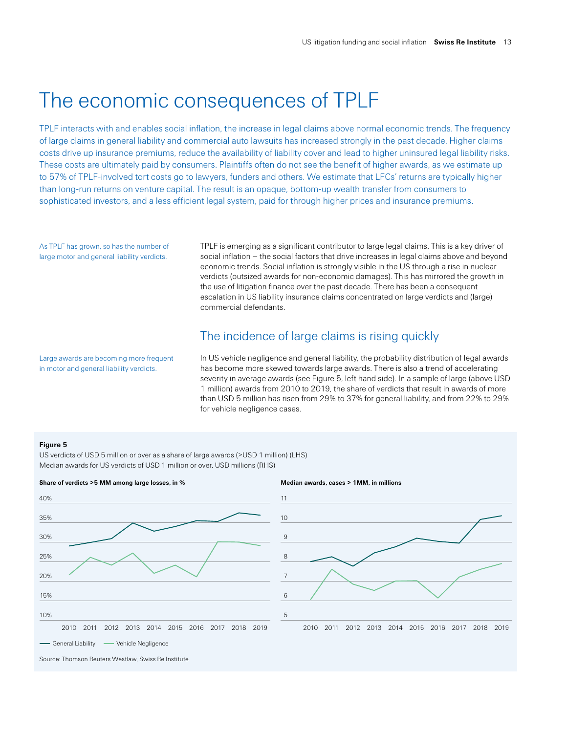## The economic consequences of TPLF

TPLF interacts with and enables social inflation, the increase in legal claims above normal economic trends. The frequency of large claims in general liability and commercial auto lawsuits has increased strongly in the past decade. Higher claims costs drive up insurance premiums, reduce the availability of liability cover and lead to higher uninsured legal liability risks. These costs are ultimately paid by consumers. Plaintiffs often do not see the benefit of higher awards, as we estimate up to 57% of TPLF-involved tort costs go to lawyers, funders and others. We estimate that LFCs' returns are typically higher than long-run returns on venture capital. The result is an opaque, bottom-up wealth transfer from consumers to sophisticated investors, and a less efficient legal system, paid for through higher prices and insurance premiums.

As TPLF has grown, so has the number of large motor and general liability verdicts.

TPLF is emerging as a significant contributor to large legal claims. This is a key driver of social inflation – the social factors that drive increases in legal claims above and beyond economic trends. Social inflation is strongly visible in the US through a rise in nuclear verdicts (outsized awards for non-economic damages). This has mirrored the growth in the use of litigation finance over the past decade. There has been a consequent escalation in US liability insurance claims concentrated on large verdicts and (large) commercial defendants.

### The incidence of large claims is rising quickly

Large awards are becoming more frequent in motor and general liability verdicts.

In US vehicle negligence and general liability, the probability distribution of legal awards has become more skewed towards large awards. There is also a trend of accelerating severity in average awards (see Figure 5, left hand side). In a sample of large (above USD 1 million) awards from 2010 to 2019, the share of verdicts that result in awards of more than USD 5 million has risen from 29% to 37% for general liability, and from 22% to 29% for vehicle negligence cases.

#### **Figure 5**

US verdicts of USD 5 million or over as a share of large awards (>USD 1 million) (LHS) Median awards for US verdicts of USD 1 million or over, USD millions (RHS)



Source: Thomson Reuters Westlaw, Swiss Re Institute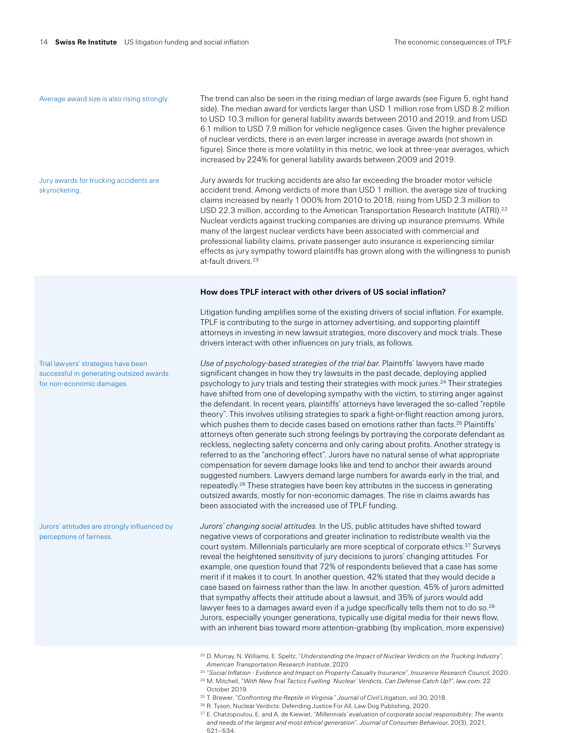#### Average award size is also rising strongly.

Jury awards for trucking accidents are

skyrocketing.

The trend can also be seen in the rising median of large awards (see Figure 5, right hand side). The median award for verdicts larger than USD 1 million rose from USD 8.2 million to USD 10.3 million for general liability awards between 2010 and 2019, and from USD 6.1 million to USD 7.9 million for vehicle negligence cases. Given the higher prevalence of nuclear verdicts, there is an even larger increase in average awards (not shown in figure). Since there is more volatility in this metric, we look at three-year averages, which increased by 224% for general liability awards between 2009 and 2019.

Jury awards for trucking accidents are also far exceeding the broader motor vehicle accident trend. Among verdicts of more than USD 1 million, the average size of trucking claims increased by nearly 1000% from 2010 to 2018, rising from USD 2.3 million to USD 22.3 million, according to the American Transportation Research Institute (ATRI).<sup>22</sup> Nuclear verdicts against trucking companies are driving up insurance premiums. While many of the largest nuclear verdicts have been associated with commercial and professional liability claims, private passenger auto insurance is experiencing similar effects as jury sympathy toward plaintiffs has grown along with the willingness to punish at-fault drivers.23

### **How does TPLF interact with other drivers of US social inflation?**

Litigation funding amplifies some of the existing drivers of social inflation. For example, TPLF is contributing to the surge in attorney advertising, and supporting plaintiff attorneys in investing in new lawsuit strategies, more discovery and mock trials. These drivers interact with other influences on jury trials, as follows.

*Use of psychology-based strategies of the trial bar.* Plaintiffs' lawyers have made significant changes in how they try lawsuits in the past decade, deploying applied psychology to jury trials and testing their strategies with mock juries.24 Their strategies have shifted from one of developing sympathy with the victim, to stirring anger against the defendant. In recent years, plaintiffs' attorneys have leveraged the so-called "reptile theory". This involves utilising strategies to spark a fight-or-flight reaction among jurors, which pushes them to decide cases based on emotions rather than facts.<sup>25</sup> Plaintiffs' attorneys often generate such strong feelings by portraying the corporate defendant as reckless, neglecting safety concerns and only caring about profits. Another strategy is referred to as the "anchoring effect". Jurors have no natural sense of what appropriate compensation for severe damage looks like and tend to anchor their awards around suggested numbers. Lawyers demand large numbers for awards early in the trial, and repeatedly.26 These strategies have been key attributes in the success in generating outsized awards, mostly for non-economic damages. The rise in claims awards has been associated with the increased use of TPLF funding.

*Jurors' changing social attitudes*. In the US, public attitudes have shifted toward negative views of corporations and greater inclination to redistribute wealth via the court system. Millennials particularly are more sceptical of corporate ethics.<sup>27</sup> Surveys reveal the heightened sensitivity of jury decisions to jurors' changing attitudes. For example, one question found that 72% of respondents believed that a case has some merit if it makes it to court. In another question, 42% stated that they would decide a case based on fairness rather than the law. In another question, 45% of jurors admitted that sympathy affects their attitude about a lawsuit, and 35% of jurors would add lawyer fees to a damages award even if a judge specifically tells them not to do so.<sup>28</sup> Jurors, especially younger generations, typically use digital media for their news flow, with an inherent bias toward more attention-grabbing (by implication, more expensive)

- <sup>22</sup> D. Murray, N. Williams, E. Speltz, "*Understanding the Impact of Nuclear Verdicts on the Trucking Industry*"*, American Transportation Research Institute*, 2020.
- <sup>23</sup> "*Social Inflation Evidence and Impact on Property-Casualty Insurance*", *Insurance Research Council*, 2020. <sup>24</sup> M. Mitchell, "*With New Trial Tactics Fuelling 'Nuclear' Verdicts, Can Defense Catch Up*?", *law.com*, 22
- October 2019.
- <sup>25</sup> T. Brewer, "*Confronting the Reptile in Virginia*." *Journal of Civil* Litigation, vol 30, 2018.
- <sup>26</sup> R. Tyson, Nuclear Verdicts: Defending Justice For All, Law Dog Publishing, 2020.
- <sup>27</sup> E. Chatzopoulou, E. and A. de Kiewiet, "*Millennials' evaluation of corporate social responsibility: The wants and needs of the largest and most ethical generation*". *Journal of Consumer Behaviour*, 20(3), 2021, 521–534.

Trial lawyers' strategies have been successful in generating outsized awards for non-economic damages.

Jurors' attitudes are strongly influenced by perceptions of fairness.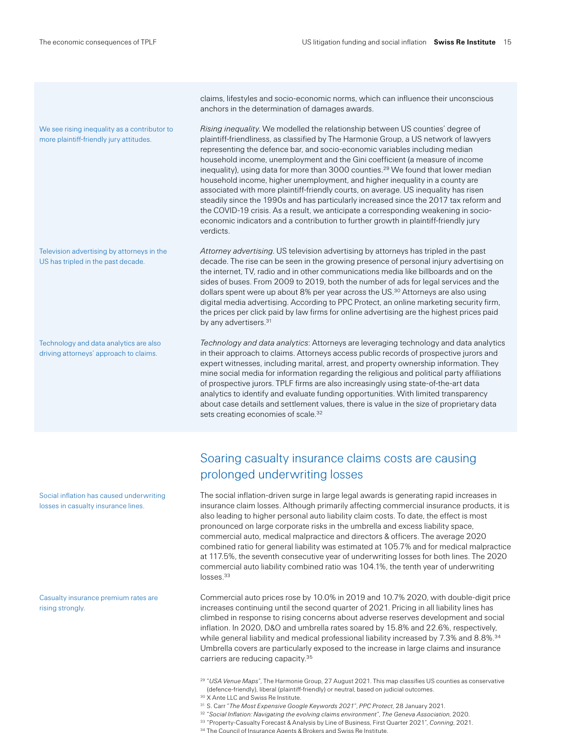We see rising inequality as a contributor to more plaintiff-friendly jury attitudes.

Television advertising by attorneys in the US has tripled in the past decade.

Technology and data analytics are also driving attorneys' approach to claims.

claims, lifestyles and socio-economic norms, which can influence their unconscious anchors in the determination of damages awards.

*Rising inequality*. We modelled the relationship between US counties' degree of plaintiff-friendliness, as classified by The Harmonie Group, a US network of lawyers representing the defence bar, and socio-economic variables including median household income, unemployment and the Gini coefficient (a measure of income inequality), using data for more than 3000 counties.29 We found that lower median household income, higher unemployment, and higher inequality in a county are associated with more plaintiff-friendly courts, on average. US inequality has risen steadily since the 1990s and has particularly increased since the 2017 tax reform and the COVID-19 crisis. As a result, we anticipate a corresponding weakening in socioeconomic indicators and a contribution to further growth in plaintiff-friendly jury verdicts.

*Attorney advertising*. US television advertising by attorneys has tripled in the past decade. The rise can be seen in the growing presence of personal injury advertising on the internet, TV, radio and in other communications media like billboards and on the sides of buses. From 2009 to 2019, both the number of ads for legal services and the dollars spent were up about 8% per year across the US.<sup>30</sup> Attorneys are also using digital media advertising. According to PPC Protect, an online marketing security firm, the prices per click paid by law firms for online advertising are the highest prices paid by any advertisers.31

*Technology and data analytics*: Attorneys are leveraging technology and data analytics in their approach to claims. Attorneys access public records of prospective jurors and expert witnesses, including marital, arrest, and property ownership information. They mine social media for information regarding the religious and political party affiliations of prospective jurors. TPLF firms are also increasingly using state-of-the-art data analytics to identify and evaluate funding opportunities. With limited transparency about case details and settlement values, there is value in the size of proprietary data sets creating economies of scale.32

### Soaring casualty insurance claims costs are causing prolonged underwriting losses

The social inflation-driven surge in large legal awards is generating rapid increases in insurance claim losses. Although primarily affecting commercial insurance products, it is also leading to higher personal auto liability claim costs. To date, the effect is most pronounced on large corporate risks in the umbrella and excess liability space, commercial auto, medical malpractice and directors & officers. The average 2020 combined ratio for general liability was estimated at 105.7% and for medical malpractice at 117.5%, the seventh consecutive year of underwriting losses for both lines. The 2020 commercial auto liability combined ratio was 104.1%, the tenth year of underwriting losses.<sup>33</sup>

Commercial auto prices rose by 10.0% in 2019 and 10.7% 2020, with double-digit price increases continuing until the second quarter of 2021. Pricing in all liability lines has climbed in response to rising concerns about adverse reserves development and social inflation. In 2020, D&O and umbrella rates soared by 15.8% and 22.6%, respectively, while general liability and medical professional liability increased by 7.3% and 8.8%.<sup>34</sup> Umbrella covers are particularly exposed to the increase in large claims and insurance carriers are reducing capacity.35

- <sup>29</sup> "*USA Venue Maps*", The Harmonie Group, 27 August 2021. This map classifies US counties as conservative (defence-friendly), liberal (plaintiff-friendly) or neutral, based on judicial outcomes.
- <sup>30</sup> X Ante LLC and Swiss Re Institute.
- <sup>31</sup> S. Carr "*The Most Expensive Google Keywords 2021*", *PPC Protect*, 28 January 2021.
- <sup>32</sup> "*Social Inflation: Navigating the evolving claims environment*", *The Geneva Association*, 2020.
- <sup>33</sup> "Property-Casualty Forecast & Analysis by Line of Business, First Quarter 2021", *Conning*, 2021.
- <sup>34</sup> The Council of Insurance Agents & Brokers and Swiss Re Institute.

losses in casualty insurance lines.

Casualty insurance premium rates are rising strongly.

Social inflation has caused underwriting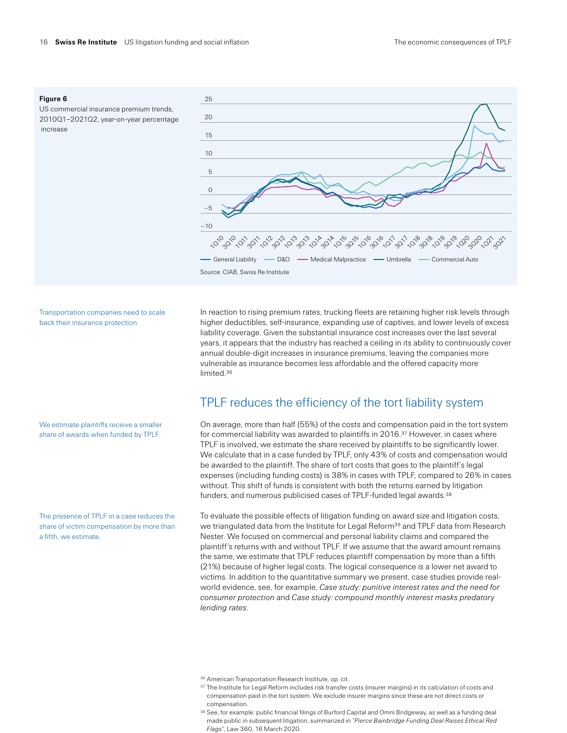### **Figure 6**

US commercial insurance premium trends, 2010Q1–2021Q2, year-on-year percentage increase



Transportation companies need to scale back their insurance protection.

We estimate plaintiffs receive a smaller share of awards when funded by TPLF.

The presence of TPLF in a case reduces the share of victim compensation by more than a fifth, we estimate.

In reaction to rising premium rates, trucking fleets are retaining higher risk levels through higher deductibles, self-insurance, expanding use of captives, and lower levels of excess liability coverage. Given the substantial insurance cost increases over the last several years, it appears that the industry has reached a ceiling in its ability to continuously cover annual double-digit increases in insurance premiums, leaving the companies more vulnerable as insurance becomes less affordable and the offered capacity more limited.36

### TPLF reduces the efficiency of the tort liability system

On average, more than half (55%) of the costs and compensation paid in the tort system for commercial liability was awarded to plaintiffs in  $2016<sup>37</sup>$  However, in cases where TPLF is involved, we estimate the share received by plaintiffs to be significantly lower. We calculate that in a case funded by TPLF, only 43% of costs and compensation would be awarded to the plaintiff. The share of tort costs that goes to the plaintiff's legal expenses (including funding costs) is 38% in cases with TPLF, compared to 26% in cases without. This shift of funds is consistent with both the returns earned by litigation funders, and numerous publicised cases of TPLF-funded legal awards.<sup>38</sup>

To evaluate the possible effects of litigation funding on award size and litigation costs, we triangulated data from the Institute for Legal Reform<sup>39</sup> and TPLF data from Research Nester. We focused on commercial and personal liability claims and compared the plaintiff's returns with and without TPLF. If we assume that the award amount remains the same, we estimate that TPLF reduces plaintiff compensation by more than a fifth (21%) because of higher legal costs. The logical consequence is a lower net award to victims. In addition to the quantitative summary we present, case studies provide realworld evidence, see, for example, *Case study: punitive interest rates and the need for consumer protection* and *Case study: compound monthly interest masks predatory lending rates*.

- 36 American Transportation Research Institute, op. cit.
- $^{\rm 37}$  The Institute for Legal Reform includes risk transfer costs (insurer margins) in its calculation of costs and compensation paid in the tort system. We exclude insurer margins since these are not direct costs or compensation.
- 38 See, for example: public financial filings of Burford Capital and Omni Bridgeway, as well as a funding deal made public in subsequent litigation, summarized in "*Pierce Bainbridge Funding Deal Raises Ethical Red Flags*", Law 360, 16 March 2020.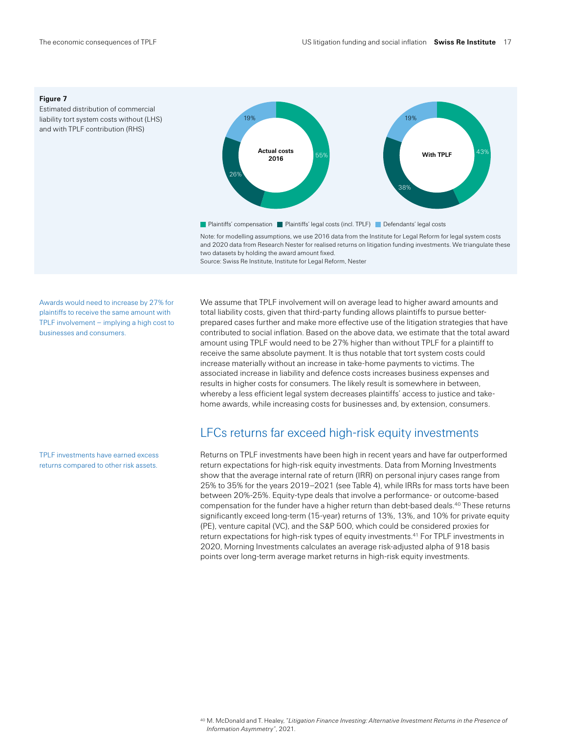#### **Figure 7**

Estimated distribution of commercial liability tort system costs without (LHS) and with TPLF contribution (RHS)



Note: for modelling assumptions, we use 2016 data from the Institute for Legal Reform for legal system costs and 2020 data from Research Nester for realised returns on litigation funding investments. We triangulate these two datasets by holding the award amount fixed. Source: Swiss Re Institute, Institute for Legal Reform, Nester

Awards would need to increase by 27% for plaintiffs to receive the same amount with TPLF involvement – implying a high cost to businesses and consumers.

TPLF investments have earned excess returns compared to other risk assets.

We assume that TPLF involvement will on average lead to higher award amounts and total liability costs, given that third-party funding allows plaintiffs to pursue betterprepared cases further and make more effective use of the litigation strategies that have contributed to social inflation. Based on the above data, we estimate that the total award amount using TPLF would need to be 27% higher than without TPLF for a plaintiff to receive the same absolute payment. It is thus notable that tort system costs could increase materially without an increase in take-home payments to victims. The associated increase in liability and defence costs increases business expenses and results in higher costs for consumers. The likely result is somewhere in between, whereby a less efficient legal system decreases plaintiffs' access to justice and takehome awards, while increasing costs for businesses and, by extension, consumers.

### LFCs returns far exceed high-risk equity investments

Returns on TPLF investments have been high in recent years and have far outperformed return expectations for high-risk equity investments. Data from Morning Investments show that the average internal rate of return (IRR) on personal injury cases range from 25% to 35% for the years 2019–2021 (see Table 4), while IRRs for mass torts have been between 20%-25%. Equity-type deals that involve a performance- or outcome-based compensation for the funder have a higher return than debt-based deals.40 These returns significantly exceed long-term (15-year) returns of 13%, 13%, and 10% for private equity (PE), venture capital (VC), and the S&P 500, which could be considered proxies for return expectations for high-risk types of equity investments.41 For TPLF investments in 2020, Morning Investments calculates an average risk-adjusted alpha of 918 basis points over long-term average market returns in high-risk equity investments.

<sup>40</sup> M. McDonald and T. Healey, "*Litigation Finance Investing: Alternative Investment Returns in the Presence of Information Asymmetry"*, 2021.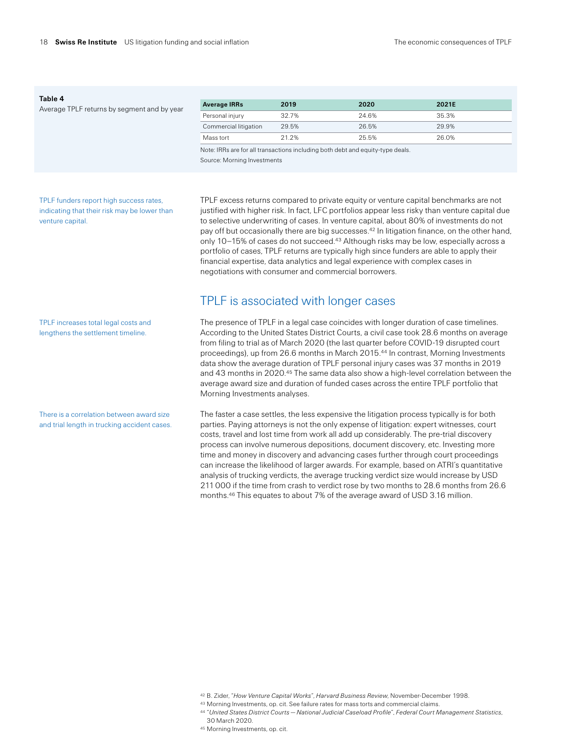#### **Table 4**

Average TPLF returns by segment and by

| v vear | <b>Average IRRs</b>   | 2019  | 2020  | 2021E |
|--------|-----------------------|-------|-------|-------|
|        | Personal injury       | 32.7% | 24.6% | 35.3% |
|        | Commercial litigation | 29.5% | 26.5% | 29.9% |
|        | Mass tort             | 21 2% | 25.5% | 26.0% |

Note: IRRs are for all transactions including both debt and equity-type deals. Source: Morning Investments

TPLF funders report high success rates, indicating that their risk may be lower than venture capital.

TPLF excess returns compared to private equity or venture capital benchmarks are not justified with higher risk. In fact, LFC portfolios appear less risky than venture capital due to selective underwriting of cases. In venture capital, about 80% of investments do not pay off but occasionally there are big successes.<sup>42</sup> In litigation finance, on the other hand, only 10-15% of cases do not succeed.<sup>43</sup> Although risks may be low, especially across a portfolio of cases, TPLF returns are typically high since funders are able to apply their financial expertise, data analytics and legal experience with complex cases in negotiations with consumer and commercial borrowers.

### TPLF is associated with longer cases

The presence of TPLF in a legal case coincides with longer duration of case timelines. According to the United States District Courts, a civil case took 28.6 months on average from filing to trial as of March 2020 (the last quarter before COVID-19 disrupted court proceedings), up from 26.6 months in March 2015.44 In contrast, Morning Investments data show the average duration of TPLF personal injury cases was 37 months in 2019 and 43 months in 2020.45 The same data also show a high-level correlation between the average award size and duration of funded cases across the entire TPLF portfolio that Morning Investments analyses.

The faster a case settles, the less expensive the litigation process typically is for both parties. Paying attorneys is not the only expense of litigation: expert witnesses, court costs, travel and lost time from work all add up considerably. The pre-trial discovery process can involve numerous depositions, document discovery, etc. Investing more time and money in discovery and advancing cases further through court proceedings can increase the likelihood of larger awards. For example, based on ATRI's quantitative analysis of trucking verdicts, the average trucking verdict size would increase by USD 211000 if the time from crash to verdict rose by two months to 28.6 months from 26.6 months.46 This equates to about 7% of the average award of USD 3.16 million.

TPLF increases total legal costs and lengthens the settlement timeline.

There is a correlation between award size and trial length in trucking accident cases.

<sup>42</sup> B. Zider, "*How Venture Capital Works*", *Harvard Business Review*, November-December 1998.

<sup>43</sup> Morning Investments, op. cit. See failure rates for mass torts and commercial claims.

<sup>44</sup> "*United States District Courts — National Judicial Caseload Profile*", *Federal Court Management Statistics*, 30 March 2020.

<sup>45</sup> Morning Investments, op. cit.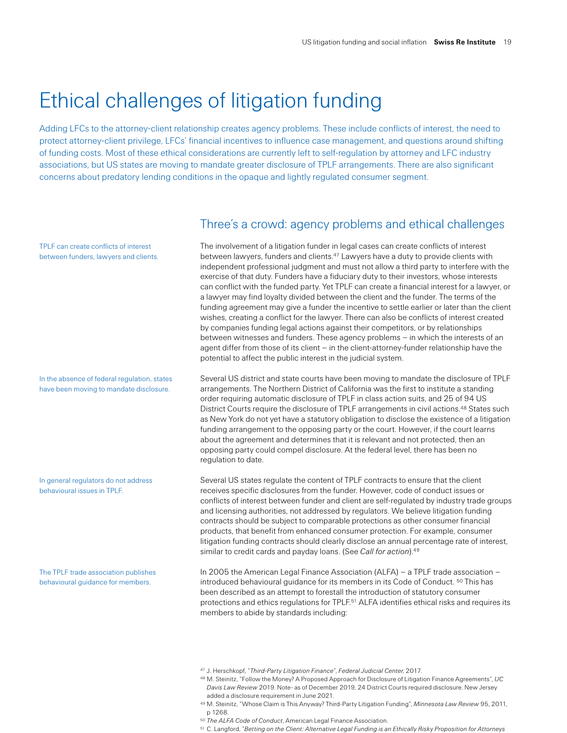## Ethical challenges of litigation funding

Adding LFCs to the attorney-client relationship creates agency problems. These include conflicts of interest, the need to protect attorney-client privilege, LFCs' financial incentives to influence case management, and questions around shifting of funding costs. Most of these ethical considerations are currently left to self-regulation by attorney and LFC industry associations, but US states are moving to mandate greater disclosure of TPLF arrangements. There are also significant concerns about predatory lending conditions in the opaque and lightly regulated consumer segment.

TPLF can create conflicts of interest between funders, lawyers and clients.

In the absence of federal regulation, states have been moving to mandate disclosure.

In general regulators do not address behavioural issues in TPLF.

The TPLF trade association publishes behavioural guidance for members.

### Three's a crowd: agency problems and ethical challenges

The involvement of a litigation funder in legal cases can create conflicts of interest between lawyers, funders and clients.47 Lawyers have a duty to provide clients with independent professional judgment and must not allow a third party to interfere with the exercise of that duty. Funders have a fiduciary duty to their investors, whose interests can conflict with the funded party. Yet TPLF can create a financial interest for a lawyer, or a lawyer may find loyalty divided between the client and the funder. The terms of the funding agreement may give a funder the incentive to settle earlier or later than the client wishes, creating a conflict for the lawyer. There can also be conflicts of interest created by companies funding legal actions against their competitors, or by relationships between witnesses and funders. These agency problems – in which the interests of an agent differ from those of its client – in the client-attorney-funder relationship have the potential to affect the public interest in the judicial system.

Several US district and state courts have been moving to mandate the disclosure of TPLF arrangements. The Northern District of California was the first to institute a standing order requiring automatic disclosure of TPLF in class action suits, and 25 of 94 US District Courts require the disclosure of TPLF arrangements in civil actions.<sup>48</sup> States such as New York do not yet have a statutory obligation to disclose the existence of a litigation funding arrangement to the opposing party or the court. However, if the court learns about the agreement and determines that it is relevant and not protected, then an opposing party could compel disclosure. At the federal level, there has been no regulation to date.

Several US states regulate the content of TPLF contracts to ensure that the client receives specific disclosures from the funder. However, code of conduct issues or conflicts of interest between funder and client are self-regulated by industry trade groups and licensing authorities, not addressed by regulators. We believe litigation funding contracts should be subject to comparable protections as other consumer financial products, that benefit from enhanced consumer protection. For example, consumer litigation funding contracts should clearly disclose an annual percentage rate of interest, similar to credit cards and payday loans. (See *Call for action*).49

In 2005 the American Legal Finance Association (ALFA) – a TPLF trade association – introduced behavioural guidance for its members in its Code of Conduct. 50 This has been described as an attempt to forestall the introduction of statutory consumer protections and ethics regulations for TPLF.<sup>51</sup> ALFA identifies ethical risks and requires its members to abide by standards including:

<sup>47</sup> J. Herschkopf, "*Third-Party Litigation Finance*", *Federal Judicial Center*, 2017.

<sup>48</sup> M. Steinitz, "Follow the Money? A Proposed Approach for Disclosure of Litigation Finance Agreements", *UC Davis Law Review* 2019. Note- as of December 2019, 24 District Courts required disclosure. New Jersey added a disclosure requirement in June 2021.

<sup>49</sup> M. Steinitz, "Whose Claim is This Anyway? Third-Party Litigation Funding", *Minnesota Law Review* 95, 2011, p 1268.

<sup>50</sup> *The ALFA Code of Conduct*, American Legal Finance Association.

<sup>51</sup> C. Langford, "*Betting on the Client: Alternative Legal Funding is an Ethically Risky Proposition for Attorneys*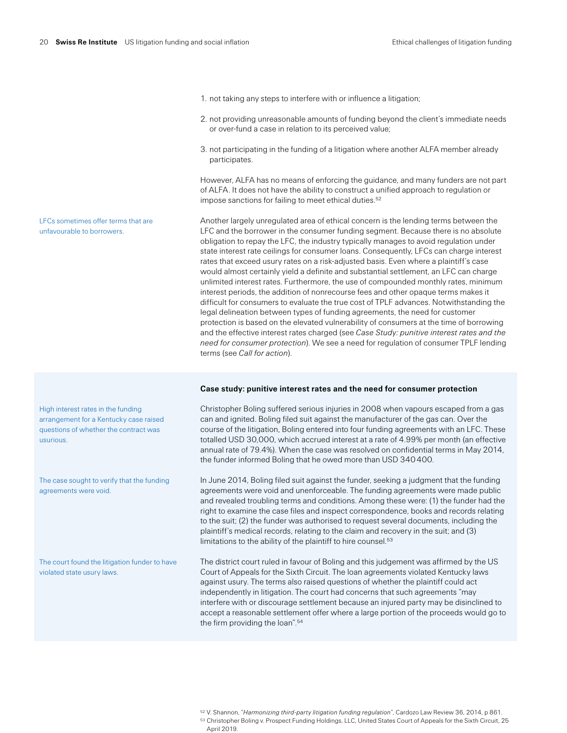- 1. not taking any steps to interfere with or influence a litigation;
- 2. not providing unreasonable amounts of funding beyond the client's immediate needs or over-fund a case in relation to its perceived value;
- 3. not participating in the funding of a litigation where another ALFA member already participates.

However, ALFA has no means of enforcing the guidance, and many funders are not part of ALFA. It does not have the ability to construct a unified approach to regulation or impose sanctions for failing to meet ethical duties.<sup>52</sup>

Another largely unregulated area of ethical concern is the lending terms between the LFC and the borrower in the consumer funding segment. Because there is no absolute obligation to repay the LFC, the industry typically manages to avoid regulation under state interest rate ceilings for consumer loans. Consequently, LFCs can charge interest rates that exceed usury rates on a risk-adjusted basis. Even where a plaintiff's case would almost certainly yield a definite and substantial settlement, an LFC can charge unlimited interest rates. Furthermore, the use of compounded monthly rates, minimum interest periods, the addition of nonrecourse fees and other opaque terms makes it difficult for consumers to evaluate the true cost of TPLF advances. Notwithstanding the legal delineation between types of funding agreements, the need for customer protection is based on the elevated vulnerability of consumers at the time of borrowing and the effective interest rates charged (see *Case Study: punitive interest rates and the need for consumer protection*). We see a need for regulation of consumer TPLF lending terms (see *Call for action*).

#### **Case study: punitive interest rates and the need for consumer protection**

Christopher Boling suffered serious injuries in 2008 when vapours escaped from a gas can and ignited. Boling filed suit against the manufacturer of the gas can. Over the course of the litigation, Boling entered into four funding agreements with an LFC. These totalled USD 30,000, which accrued interest at a rate of 4.99% per month (an effective annual rate of 79.4%). When the case was resolved on confidential terms in May 2014, the funder informed Boling that he owed more than USD 340400.

In June 2014, Boling filed suit against the funder, seeking a judgment that the funding agreements were void and unenforceable. The funding agreements were made public and revealed troubling terms and conditions. Among these were: (1) the funder had the right to examine the case files and inspect correspondence, books and records relating to the suit; (2) the funder was authorised to request several documents, including the plaintiff's medical records, relating to the claim and recovery in the suit; and (3) limitations to the ability of the plaintiff to hire counsel.<sup>53</sup>

The district court ruled in favour of Boling and this judgement was affirmed by the US Court of Appeals for the Sixth Circuit. The loan agreements violated Kentucky laws against usury. The terms also raised questions of whether the plaintiff could act independently in litigation. The court had concerns that such agreements "may interfere with or discourage settlement because an injured party may be disinclined to accept a reasonable settlement offer where a large portion of the proceeds would go to the firm providing the loan".<sup>54</sup>

LFCs sometimes offer terms that are unfavourable to borrowers.

High interest rates in the funding arrangement for a Kentucky case raised questions of whether the contract was usurious.

The case sought to verify that the funding agreements were void.

The court found the litigation funder to have violated state usury laws.

<sup>52</sup> V. Shannon, "*Harmonizing third-party litigation funding regulation*", Cardozo Law Review 36, 2014, p 861. 53 Christopher Boling v. Prospect Funding Holdings, LLC, United States Court of Appeals for the Sixth Circuit, 25 April 2019.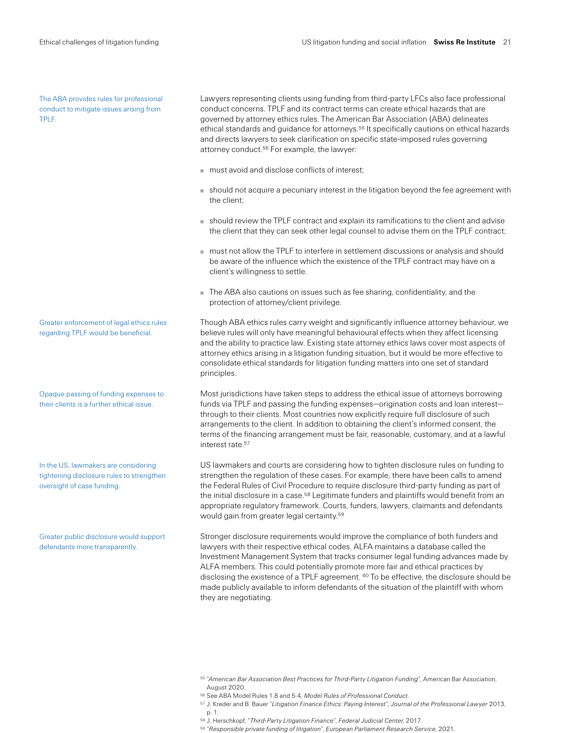The ABA provides rules for professional conduct to mitigate issues arising from TPLF.

Greater enforcement of legal ethics rules regarding TPLF would be beneficial.

Opaque passing of funding expenses to their clients is a further ethical issue.

In the US, lawmakers are considering tightening disclosure rules to strengthen oversight of case funding.

Greater public disclosure would support defendants more transparently.

Lawyers representing clients using funding from third-party LFCs also face professional conduct concerns. TPLF and its contract terms can create ethical hazards that are governed by attorney ethics rules. The American Bar Association (ABA) delineates ethical standards and guidance for attorneys.55 It specifically cautions on ethical hazards and directs lawyers to seek clarification on specific state-imposed rules governing attorney conduct.<sup>56</sup> For example, the lawyer:

- must avoid and disclose conflicts of interest;
- should not acquire a pecuniary interest in the litigation beyond the fee agreement with the client;
- should review the TPLF contract and explain its ramifications to the client and advise the client that they can seek other legal counsel to advise them on the TPLF contract;
- must not allow the TPLF to interfere in settlement discussions or analysis and should be aware of the influence which the existence of the TPLF contract may have on a client's willingness to settle.
- The ABA also cautions on issues such as fee sharing, confidentiality, and the protection of attorney/client privilege.

Though ABA ethics rules carry weight and significantly influence attorney behaviour, we believe rules will only have meaningful behavioural effects when they affect licensing and the ability to practice law. Existing state attorney ethics laws cover most aspects of attorney ethics arising in a litigation funding situation, but it would be more effective to consolidate ethical standards for litigation funding matters into one set of standard principles.

Most jurisdictions have taken steps to address the ethical issue of attorneys borrowing funds via TPLF and passing the funding expenses—origination costs and loan interest through to their clients. Most countries now explicitly require full disclosure of such arrangements to the client. In addition to obtaining the client's informed consent, the terms of the financing arrangement must be fair, reasonable, customary, and at a lawful interest rate.<sup>57</sup>

US lawmakers and courts are considering how to tighten disclosure rules on funding to strengthen the regulation of these cases. For example, there have been calls to amend the Federal Rules of Civil Procedure to require disclosure third-party funding as part of the initial disclosure in a case.<sup>58</sup> Legitimate funders and plaintiffs would benefit from an appropriate regulatory framework. Courts, funders, lawyers, claimants and defendants would gain from greater legal certainty.59

Stronger disclosure requirements would improve the compliance of both funders and lawyers with their respective ethical codes. ALFA maintains a database called the Investment Management System that tracks consumer legal funding advances made by ALFA members. This could potentially promote more fair and ethical practices by disclosing the existence of a TPLF agreement. <sup>60</sup> To be effective, the disclosure should be made publicly available to inform defendants of the situation of the plaintiff with whom they are negotiating.

<sup>56</sup> See ABA Model Rules 1.8 and 5.4, *Model Rules of Professional Conduct*.

<sup>55</sup> "*American Bar Association Best Practices for Third-Party Litigation Funding*", American Bar Association, August 2020.

<sup>57</sup> J. Kreder and B. Bauer "*Litigation Finance Ethics: Paying Interest*"*, Journal of the Professional Lawyer* 2013, p. 1.

<sup>58</sup> J. Herschkopf, "*Third-Party Litigation Finance*", *Federal Judicial Center*, 2017.

<sup>59</sup> "*Responsible private funding of litigation*", *European Parliament Research Service*, 2021.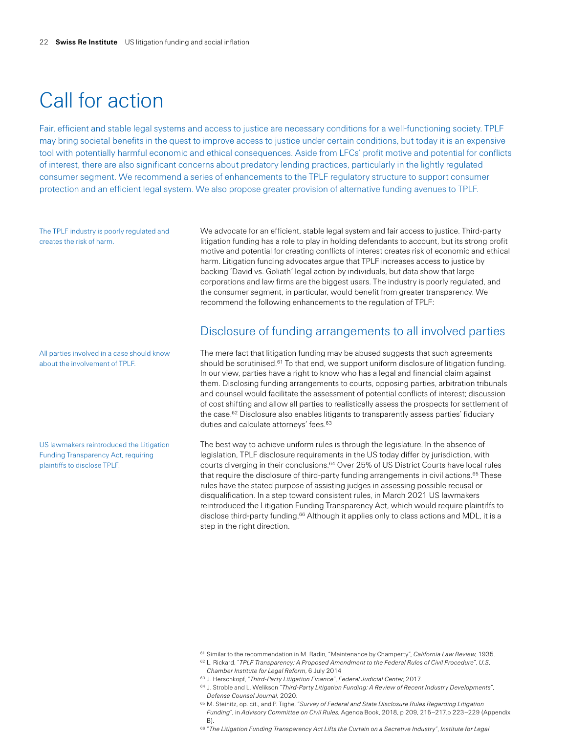## Call for action

Fair, efficient and stable legal systems and access to justice are necessary conditions for a well-functioning society. TPLF may bring societal benefits in the quest to improve access to justice under certain conditions, but today it is an expensive tool with potentially harmful economic and ethical consequences. Aside from LFCs' profit motive and potential for conflicts of interest, there are also significant concerns about predatory lending practices, particularly in the lightly regulated consumer segment. We recommend a series of enhancements to the TPLF regulatory structure to support consumer protection and an efficient legal system. We also propose greater provision of alternative funding avenues to TPLF.

The TPLF industry is poorly regulated and creates the risk of harm.

All parties involved in a case should know about the involvement of TPLF.

US lawmakers reintroduced the Litigation Funding Transparency Act, requiring plaintiffs to disclose TPLF.

We advocate for an efficient, stable legal system and fair access to justice. Third-party litigation funding has a role to play in holding defendants to account, but its strong profit motive and potential for creating conflicts of interest creates risk of economic and ethical harm. Litigation funding advocates argue that TPLF increases access to justice by backing 'David vs. Goliath' legal action by individuals, but data show that large corporations and law firms are the biggest users. The industry is poorly regulated, and the consumer segment, in particular, would benefit from greater transparency. We recommend the following enhancements to the regulation of TPLF:

### Disclosure of funding arrangements to all involved parties

The mere fact that litigation funding may be abused suggests that such agreements should be scrutinised.<sup>61</sup> To that end, we support uniform disclosure of litigation funding. In our view, parties have a right to know who has a legal and financial claim against them. Disclosing funding arrangements to courts, opposing parties, arbitration tribunals and counsel would facilitate the assessment of potential conflicts of interest; discussion of cost shifting and allow all parties to realistically assess the prospects for settlement of the case.<sup>62</sup> Disclosure also enables litigants to transparently assess parties' fiduciary duties and calculate attorneys' fees.<sup>63</sup>

The best way to achieve uniform rules is through the legislature. In the absence of legislation, TPLF disclosure requirements in the US today differ by jurisdiction, with courts diverging in their conclusions.<sup>64</sup> Over 25% of US District Courts have local rules that require the disclosure of third-party funding arrangements in civil actions.<sup>65</sup> These rules have the stated purpose of assisting judges in assessing possible recusal or disqualification. In a step toward consistent rules, in March 2021 US lawmakers reintroduced the Litigation Funding Transparency Act, which would require plaintiffs to disclose third-party funding.<sup>66</sup> Although it applies only to class actions and MDL, it is a step in the right direction.

- <sup>62</sup> L. Rickard, "*TPLF Transparency: A Proposed Amendment to the Federal Rules of Civil Procedure*", *U.S. Chamber Institute for Legal Reform*, 6 July 2014
- <sup>63</sup> J. Herschkopf, "*Third-Party Litigation Finance*", *Federal Judicial Center*, 2017.
- <sup>64</sup> J. Stroble and L. Welikson "*Third-Party Litigation Funding: A Review of Recent Industry Developments*", *Defense Counsel Journal,* 2020.
- <sup>65</sup> M. Steinitz, op. cit., and P. Tighe, "*Survey of Federal and State Disclosure Rules Regarding Litigation Funding*", in *Advisory Committee on Civil Rules*, Agenda Book, 2018, p 209, 215–217.p 223–229 (Appendix B).
- <sup>66</sup> "*The Litigation Funding Transparency Act Lifts the Curtain on a Secretive Industry*", *Institute for Legal*

<sup>61</sup> Similar to the recommendation in M. Radin, "Maintenance by Champerty", *California Law Review*, 1935.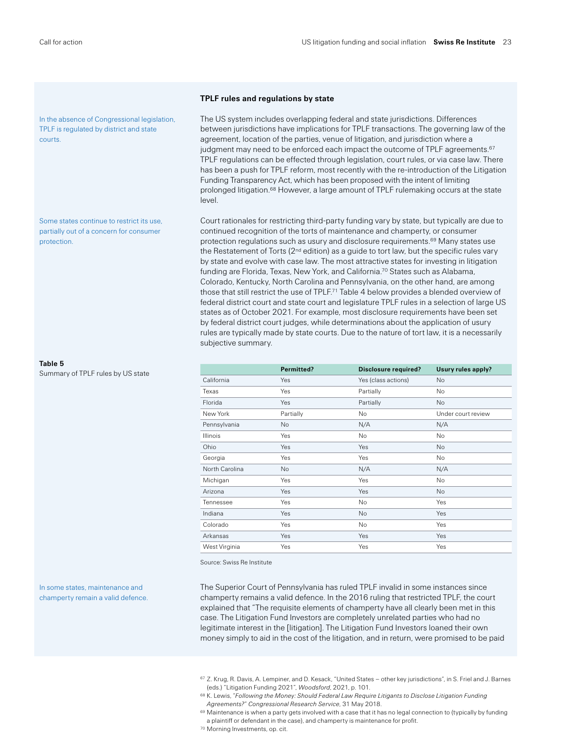In the absence of Congressional legislation, TPLF is regulated by district and state courts.

Some states continue to restrict its use, partially out of a concern for consumer protection.

#### **Table 5**

Summary of TPLF rules by US state

In some states, maintenance and champerty remain a valid defence.

### **TPLF rules and regulations by state**

The US system includes overlapping federal and state jurisdictions. Differences between jurisdictions have implications for TPLF transactions. The governing law of the agreement, location of the parties, venue of litigation, and jurisdiction where a judgment may need to be enforced each impact the outcome of TPLF agreements. $67$ TPLF regulations can be effected through legislation, court rules, or via case law. There has been a push for TPLF reform, most recently with the re-introduction of the Litigation Funding Transparency Act, which has been proposed with the intent of limiting prolonged litigation.68 However, a large amount of TPLF rulemaking occurs at the state level.

Court rationales for restricting third-party funding vary by state, but typically are due to continued recognition of the torts of maintenance and champerty, or consumer protection regulations such as usury and disclosure requirements.69 Many states use the Restatement of Torts  $(2<sup>nd</sup>$  edition) as a guide to tort law, but the specific rules vary by state and evolve with case law. The most attractive states for investing in litigation funding are Florida, Texas, New York, and California.70 States such as Alabama, Colorado, Kentucky, North Carolina and Pennsylvania, on the other hand, are among those that still restrict the use of TPLF.71 Table 4 below provides a blended overview of federal district court and state court and legislature TPLF rules in a selection of large US states as of October 2021. For example, most disclosure requirements have been set by federal district court judges, while determinations about the application of usury rules are typically made by state courts. Due to the nature of tort law, it is a necessarily subjective summary.

|                | Permitted? | <b>Disclosure required?</b> | Usury rules apply? |
|----------------|------------|-----------------------------|--------------------|
| California     | Yes        | Yes (class actions)         | No                 |
| Texas          | Yes        | Partially                   | No                 |
| Florida        | Yes        | Partially                   | No                 |
| New York       | Partially  | No                          | Under court review |
| Pennsylvania   | No         | N/A                         | N/A                |
| Illinois       | Yes        | No                          | No                 |
| Ohio           | Yes        | Yes                         | <b>No</b>          |
| Georgia        | Yes        | Yes                         | No                 |
| North Carolina | No         | N/A                         | N/A                |
| Michigan       | Yes        | Yes                         | No                 |
| Arizona        | Yes        | Yes                         | No                 |
| Tennessee      | Yes        | No                          | Yes                |
| Indiana        | Yes        | No                          | Yes                |
| Colorado       | Yes        | No                          | Yes                |
| Arkansas       | Yes        | Yes                         | Yes                |
| West Virginia  | Yes        | Yes                         | Yes                |

Source: Swiss Re Institute

The Superior Court of Pennsylvania has ruled TPLF invalid in some instances since champerty remains a valid defence. In the 2016 ruling that restricted TPLF, the court explained that "The requisite elements of champerty have all clearly been met in this case. The Litigation Fund Investors are completely unrelated parties who had no legitimate interest in the [litigation]. The Litigation Fund Investors loaned their own money simply to aid in the cost of the litigation, and in return, were promised to be paid

- <sup>68</sup> K. Lewis, "*Following the Money: Should Federal Law Require Litigants to Disclose Litigation Funding Agreements?*" *Congressional Research Service*, 31 May 2018.
- 69 Maintenance is when a party gets involved with a case that it has no legal connection to (typically by funding a plaintiff or defendant in the case), and champerty is maintenance for profit.
- <sup>70</sup> Morning Investments, op. cit.

 $67$  Z. Krug, R. Davis, A. Lempiner, and D. Kesack, "United States – other key jurisdictions", in S. Friel and J. Barnes (eds.) "Litigation Funding 2021", *Woodsford*, 2021, p. 101.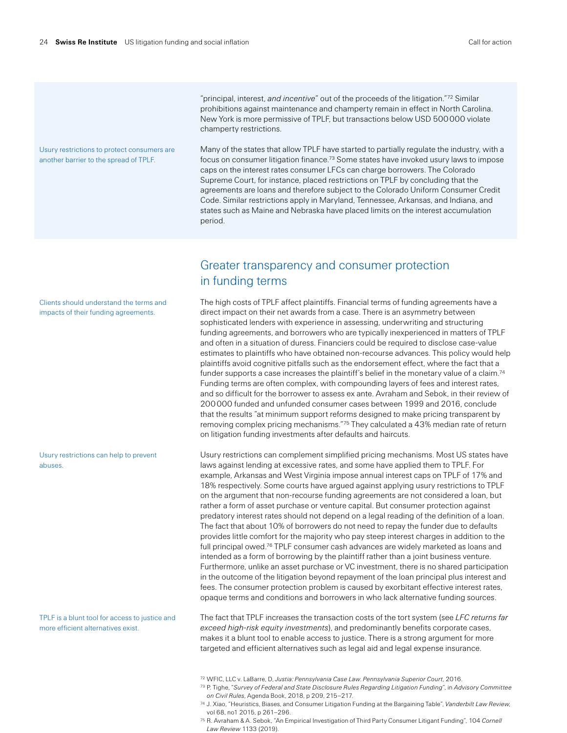Usury restrictions to protect consumers are another barrier to the spread of TPLF.

"principal, interest, *and incentive*" out of the proceeds of the litigation."72 Similar prohibitions against maintenance and champerty remain in effect in North Carolina. New York is more permissive of TPLF, but transactions below USD 500000 violate champerty restrictions.

Many of the states that allow TPLF have started to partially regulate the industry, with a focus on consumer litigation finance.73 Some states have invoked usury laws to impose caps on the interest rates consumer LFCs can charge borrowers. The Colorado Supreme Court, for instance, placed restrictions on TPLF by concluding that the agreements are loans and therefore subject to the Colorado Uniform Consumer Credit Code. Similar restrictions apply in Maryland, Tennessee, Arkansas, and Indiana, and states such as Maine and Nebraska have placed limits on the interest accumulation period.

### Greater transparency and consumer protection in funding terms

The high costs of TPLF affect plaintiffs. Financial terms of funding agreements have a direct impact on their net awards from a case. There is an asymmetry between sophisticated lenders with experience in assessing, underwriting and structuring funding agreements, and borrowers who are typically inexperienced in matters of TPLF and often in a situation of duress. Financiers could be required to disclose case-value estimates to plaintiffs who have obtained non-recourse advances. This policy would help plaintiffs avoid cognitive pitfalls such as the endorsement effect, where the fact that a funder supports a case increases the plaintiff's belief in the monetary value of a claim.<sup>74</sup> Funding terms are often complex, with compounding layers of fees and interest rates, and so difficult for the borrower to assess ex ante. Avraham and Sebok, in their review of 200000 funded and unfunded consumer cases between 1999 and 2016, conclude that the results "at minimum support reforms designed to make pricing transparent by removing complex pricing mechanisms."75 They calculated a 43% median rate of return on litigation funding investments after defaults and haircuts.

Usury restrictions can complement simplified pricing mechanisms. Most US states have laws against lending at excessive rates, and some have applied them to TPLF. For example, Arkansas and West Virginia impose annual interest caps on TPLF of 17% and 18% respectively. Some courts have argued against applying usury restrictions to TPLF on the argument that non-recourse funding agreements are not considered a loan, but rather a form of asset purchase or venture capital. But consumer protection against predatory interest rates should not depend on a legal reading of the definition of a loan. The fact that about 10% of borrowers do not need to repay the funder due to defaults provides little comfort for the majority who pay steep interest charges in addition to the full principal owed.76 TPLF consumer cash advances are widely marketed as loans and intended as a form of borrowing by the plaintiff rather than a joint business venture. Furthermore, unlike an asset purchase or VC investment, there is no shared participation in the outcome of the litigation beyond repayment of the loan principal plus interest and fees. The consumer protection problem is caused by exorbitant effective interest rates, opaque terms and conditions and borrowers in who lack alternative funding sources.

The fact that TPLF increases the transaction costs of the tort system (see *LFC returns far exceed high-risk equity investments*), and predominantly benefits corporate cases, makes it a blunt tool to enable access to justice. There is a strong argument for more targeted and efficient alternatives such as legal aid and legal expense insurance.

- <sup>72</sup> WFIC, LLC v. LaBarre, D, *Justia: Pennsylvania Case Law*. *Pennsylvania Superior Court*, 2016.
- <sup>73</sup> P. Tighe, "*Survey of Federal and State Disclosure Rules Regarding Litigation Funding*", in *Advisory Committee on Civil Rules*, Agenda Book, 2018, p 209, 215–217.
- <sup>74</sup> J. Xiao, "Heuristics, Biases, and Consumer Litigation Funding at the Bargaining Table", *Vanderbilt Law Review*, vol 68, no1 2015, p 261–296.
- <sup>75</sup> R. Avraham & A. Sebok, "An Empirical Investigation of Third Party Consumer Litigant Funding", 104 *Cornell Law Review* 1133 (2019).

Clients should understand the terms and impacts of their funding agreements.

Usury restrictions can help to prevent abuses.

TPLF is a blunt tool for access to justice and more efficient alternatives exist.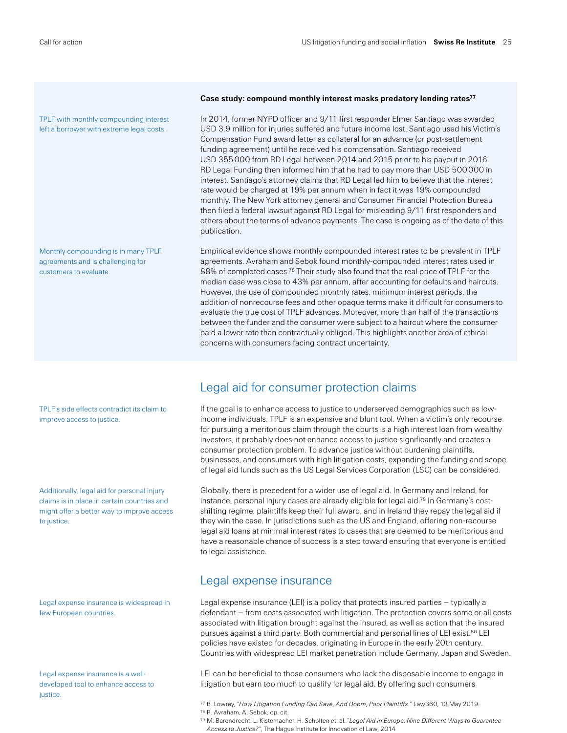TPLF with monthly compounding interest left a borrower with extreme legal costs.

Monthly compounding is in many TPLF agreements and is challenging for customers to evaluate.

### TPLF's side effects contradict its claim to improve access to justice.

Additionally, legal aid for personal injury claims is in place in certain countries and might offer a better way to improve access to justice.

Legal expense insurance is widespread in few European countries.

Legal expense insurance is a welldeveloped tool to enhance access to justice.

### **Case study: compound monthly interest masks predatory lending rates77**

In 2014, former NYPD officer and 9/11 first responder Elmer Santiago was awarded USD 3.9 million for injuries suffered and future income lost. Santiago used his Victim's Compensation Fund award letter as collateral for an advance (or post-settlement funding agreement) until he received his compensation. Santiago received USD 355000 from RD Legal between 2014 and 2015 prior to his payout in 2016. RD Legal Funding then informed him that he had to pay more than USD 500000 in interest. Santiago's attorney claims that RD Legal led him to believe that the interest rate would be charged at 19% per annum when in fact it was 19% compounded monthly. The New York attorney general and Consumer Financial Protection Bureau then filed a federal lawsuit against RD Legal for misleading 9/11 first responders and others about the terms of advance payments. The case is ongoing as of the date of this publication.

Empirical evidence shows monthly compounded interest rates to be prevalent in TPLF agreements. Avraham and Sebok found monthly-compounded interest rates used in 88% of completed cases.<sup>78</sup> Their study also found that the real price of TPLF for the median case was close to 43% per annum, after accounting for defaults and haircuts. However, the use of compounded monthly rates, minimum interest periods, the addition of nonrecourse fees and other opaque terms make it difficult for consumers to evaluate the true cost of TPLF advances. Moreover, more than half of the transactions between the funder and the consumer were subject to a haircut where the consumer paid a lower rate than contractually obliged. This highlights another area of ethical concerns with consumers facing contract uncertainty.

### Legal aid for consumer protection claims

If the goal is to enhance access to justice to underserved demographics such as lowincome individuals, TPLF is an expensive and blunt tool. When a victim's only recourse for pursuing a meritorious claim through the courts is a high interest loan from wealthy investors, it probably does not enhance access to justice significantly and creates a consumer protection problem. To advance justice without burdening plaintiffs, businesses, and consumers with high litigation costs, expanding the funding and scope of legal aid funds such as the US Legal Services Corporation (LSC) can be considered.

Globally, there is precedent for a wider use of legal aid. In Germany and Ireland, for instance, personal injury cases are already eligible for legal aid.79 In Germany's costshifting regime, plaintiffs keep their full award, and in Ireland they repay the legal aid if they win the case. In jurisdictions such as the US and England, offering non-recourse legal aid loans at minimal interest rates to cases that are deemed to be meritorious and have a reasonable chance of success is a step toward ensuring that everyone is entitled to legal assistance.

### Legal expense insurance

Legal expense insurance (LEI) is a policy that protects insured parties – typically a defendant – from costs associated with litigation. The protection covers some or all costs associated with litigation brought against the insured, as well as action that the insured pursues against a third party. Both commercial and personal lines of LEI exist.80 LEI policies have existed for decades, originating in Europe in the early 20th century. Countries with widespread LEI market penetration include Germany, Japan and Sweden.

LEI can be beneficial to those consumers who lack the disposable income to engage in litigation but earn too much to qualify for legal aid. By offering such consumers

<sup>77</sup> B. Lowrey, "*How Litigation Funding Can Save, And Doom, Poor Plaintiffs.*" Law360, 13 May 2019.

<sup>78</sup> R. Avraham, A. Sebok, op. cit.

<sup>79</sup> M. Barendrecht, L. Kistemacher, H. Scholten et. al. "*Legal Aid in Europe: Nine Different Ways to Guarantee Access to Justice?*", The Hague Institute for Innovation of Law, 2014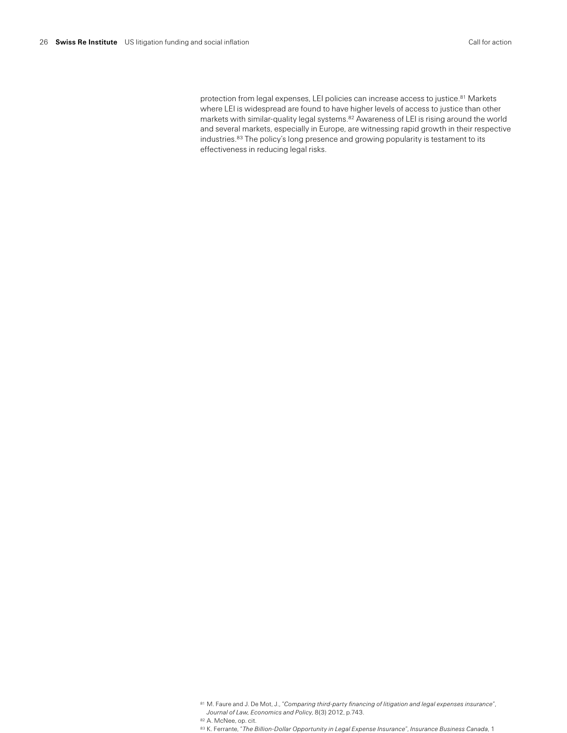protection from legal expenses, LEI policies can increase access to justice.<sup>81</sup> Markets where LEI is widespread are found to have higher levels of access to justice than other markets with similar-quality legal systems.82 Awareness of LEI is rising around the world and several markets, especially in Europe, are witnessing rapid growth in their respective industries.83 The policy's long presence and growing popularity is testament to its effectiveness in reducing legal risks.

<sup>81</sup> M. Faure and J. De Mot, J., "*Comparing third-party financing of litigation and legal expenses insurance*", *Journal of Law, Economics and Policy*, 8(3) 2012, p.743.

<sup>82</sup> A. McNee, op. cit.

<sup>83</sup> K. Ferrante, "*The Billion-Dollar Opportunity in Legal Expense Insurance*", *Insurance Business Canada*, 1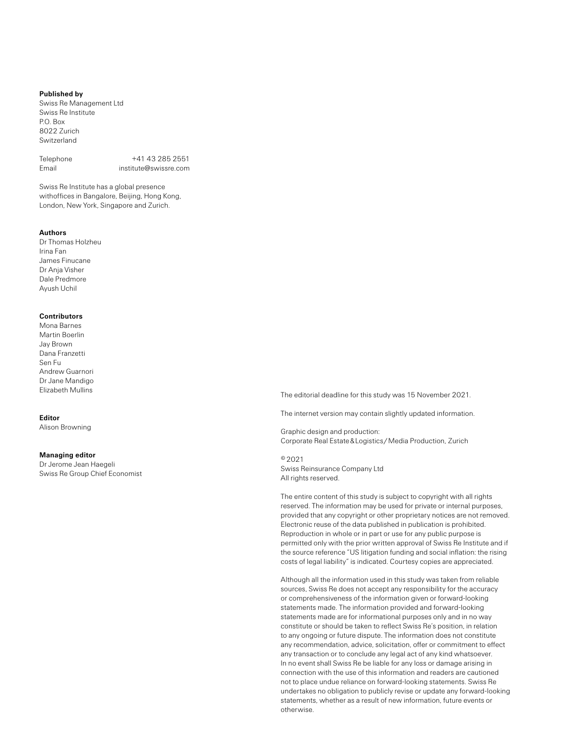#### **Published by**

Swiss Re Management Ltd Swiss Re Institute P.O. Box 8022 Zurich Switzerland

Telephone +41 43 285 2551 Email institute@swissre.com

Swiss Re Institute has a global presence withoffices in Bangalore, Beijing, Hong Kong, London, New York, Singapore and Zurich.

#### **Authors**

Dr Thomas Holzheu Irina Fan James Finucane Dr Anja Visher Dale Predmore Ayush Uchil

### **Contributors**

Mona Barnes Martin Boerlin Jay Brown Dana Franzetti Sen Fu Andrew Guarnori Dr Jane Mandigo Elizabeth Mullins

### **Editor**

Alison Browning

#### **Managing editor**

Dr Jerome Jean Haegeli Swiss Re Group Chief Economist The editorial deadline for this study was 15 November 2021.

The internet version may contain slightly updated information.

Graphic design and production: Corporate Real Estate & Logistics / Media Production, Zurich

©2021 Swiss Reinsurance Company Ltd All rights reserved.

The entire content of this study is subject to copyright with all rights reserved. The information may be used for private or internal purposes, provided that any copyright or other proprietary notices are not removed. Electronic reuse of the data published in publication is prohibited. Reproduction in whole or in part or use for any public purpose is permitted only with the prior written approval of Swiss Re Institute and if the source reference "US litigation funding and social inflation: the rising costs of legal liability" is indicated. Courtesy copies are appreciated.

Although all the information used in this study was taken from reliable sources, Swiss Re does not accept any responsibility for the accuracy or comprehensiveness of the information given or forward-looking statements made. The information provided and forward-looking statements made are for informational purposes only and in no way constitute or should be taken to reflect Swiss Re's position, in relation to any ongoing or future dispute. The information does not constitute any recommendation, advice, solicitation, offer or commitment to effect any transaction or to conclude any legal act of any kind whatsoever. In no event shall Swiss Re be liable for any loss or damage arising in connection with the use of this information and readers are cautioned not to place undue reliance on forward-looking statements. Swiss Re undertakes no obligation to publicly revise or update any forward-looking statements, whether as a result of new information, future events or otherwise.